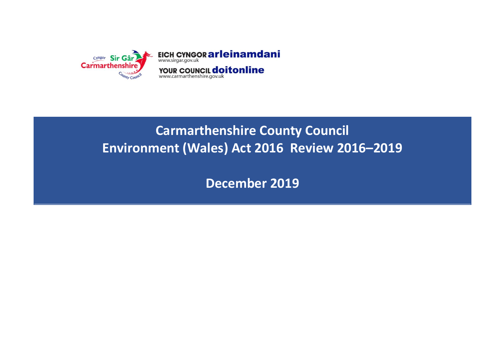

# **Carmarthenshire County Council Environment (Wales) Act 2016 Review 2016–2019**

**December 2019**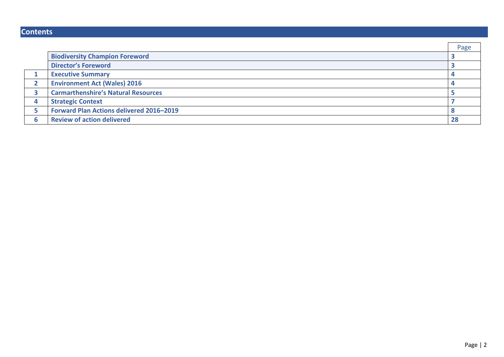# **Contents**

|                                            | Page |
|--------------------------------------------|------|
| <b>Biodiversity Champion Foreword</b>      |      |
| <b>Director's Foreword</b>                 |      |
| <b>Executive Summary</b>                   |      |
| <b>Environment Act (Wales) 2016</b>        |      |
| <b>Carmarthenshire's Natural Resources</b> |      |
| <b>Strategic Context</b>                   |      |
| Forward Plan Actions delivered 2016-2019   |      |
| <b>Review of action delivered</b>          | 28   |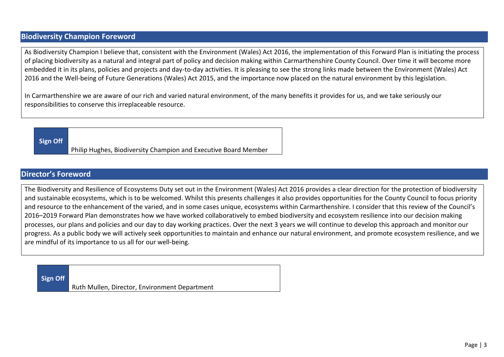## **Biodiversity Champion Foreword**

As Biodiversity Champion I believe that, consistent with the Environment (Wales) Act 2016, the implementation of this Forward Plan is initiating the process of placing biodiversity as a natural and integral part of policy and decision making within Carmarthenshire County Council. Over time it will become more embedded it in its plans, policies and projects and day-to-day activities. It is pleasing to see the strong links made between the Environment (Wales) Act 2016 and the Well-being of Future Generations (Wales) Act 2015, and the importance now placed on the natural environment by this legislation.

In Carmarthenshire we are aware of our rich and varied natural environment, of the many benefits it provides for us, and we take seriously our responsibilities to conserve this irreplaceable resource.

**Sign Off**

Philip Hughes, Biodiversity Champion and Executive Board Member

### **Director's Foreword**

The Biodiversity and Resilience of Ecosystems Duty set out in the Environment (Wales) Act 2016 provides a clear direction for the protection of biodiversity and sustainable ecosystems, which is to be welcomed. Whilst this presents challenges it also provides opportunities for the County Council to focus priority and resource to the enhancement of the varied, and in some cases unique, ecosystems within Carmarthenshire. I consider that this review of the Council's 2016–2019 Forward Plan demonstrates how we have worked collaboratively to embed biodiversity and ecosystem resilience into our decision making processes, our plans and policies and our day to day working practices. Over the next 3 years we will continue to develop this approach and monitor our progress. As a public body we will actively seek opportunities to maintain and enhance our natural environment, and promote ecosystem resilience, and we are mindful of its importance to us all for our well-being.

**Sign Off** Ruth Mullen, Director, Environment Department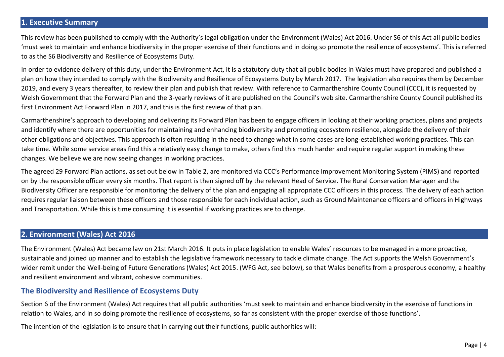### **1. Executive Summary**

This review has been published to comply with the Authority's legal obligation under the Environment (Wales) Act 2016. Under S6 of this Act all public bodies 'must seek to maintain and enhance biodiversity in the proper exercise of their functions and in doing so promote the resilience of ecosystems'. This is referred to as the S6 Biodiversity and Resilience of Ecosystems Duty.

In order to evidence delivery of this duty, under the Environment Act, it is a statutory duty that all public bodies in Wales must have prepared and published a plan on how they intended to comply with the Biodiversity and Resilience of Ecosystems Duty by March 2017. The legislation also requires them by December 2019, and every 3 years thereafter, to review their plan and publish that review. With reference to Carmarthenshire County Council (CCC), it is requested by Welsh Government that the Forward Plan and the 3-yearly reviews of it are published on the Council's web site. Carmarthenshire County Council published its first Environment Act Forward Plan in 2017, and this is the first review of that plan.

Carmarthenshire's approach to developing and delivering its Forward Plan has been to engage officers in looking at their working practices, plans and projects and identify where there are opportunities for maintaining and enhancing biodiversity and promoting ecosystem resilience, alongside the delivery of their other obligations and objectives. This approach is often resulting in the need to change what in some cases are long-established working practices. This can take time. While some service areas find this a relatively easy change to make, others find this much harder and require regular support in making these changes. We believe we are now seeing changes in working practices.

The agreed 29 Forward Plan actions, as set out below in Table 2, are monitored via CCC's Performance Improvement Monitoring System (PIMS) and reported on by the responsible officer every six months. That report is then signed off by the relevant Head of Service. The Rural Conservation Manager and the Biodiversity Officer are responsible for monitoring the delivery of the plan and engaging all appropriate CCC officers in this process. The delivery of each action requires regular liaison between these officers and those responsible for each individual action, such as Ground Maintenance officers and officers in Highways and Transportation. While this is time consuming it is essential if working practices are to change.

### **2. Environment (Wales) Act 2016**

The Environment (Wales) Act became law on 21st March 2016. It puts in place legislation to enable Wales' resources to be managed in a more proactive, sustainable and joined up manner and to establish the legislative framework necessary to tackle climate change. The Act supports the Welsh Government's wider remit under the Well-being of Future Generations (Wales) Act 2015. (WFG Act, see below), so that Wales benefits from a prosperous economy, a healthy and resilient environment and vibrant, cohesive communities.

### **The Biodiversity and Resilience of Ecosystems Duty**

Section 6 of the Environment (Wales) Act requires that all public authorities 'must seek to maintain and enhance biodiversity in the exercise of functions in relation to Wales, and in so doing promote the resilience of ecosystems, so far as consistent with the proper exercise of those functions'.

The intention of the legislation is to ensure that in carrying out their functions, public authorities will: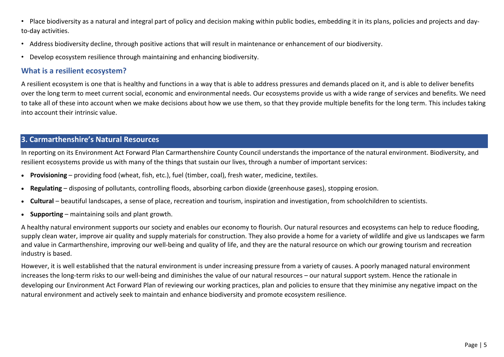• Place biodiversity as a natural and integral part of policy and decision making within public bodies, embedding it in its plans, policies and projects and dayto-day activities.

- Address biodiversity decline, through positive actions that will result in maintenance or enhancement of our biodiversity.
- Develop ecosystem resilience through maintaining and enhancing biodiversity.

### **What is a resilient ecosystem?**

A resilient ecosystem is one that is healthy and functions in a way that is able to address pressures and demands placed on it, and is able to deliver benefits over the long term to meet current social, economic and environmental needs. Our ecosystems provide us with a wide range of services and benefits. We need to take all of these into account when we make decisions about how we use them, so that they provide multiple benefits for the long term. This includes taking into account their intrinsic value.

### **3. Carmarthenshire's Natural Resources**

In reporting on its Environment Act Forward Plan Carmarthenshire County Council understands the importance of the natural environment. Biodiversity, and resilient ecosystems provide us with many of the things that sustain our lives, through a number of important services:

- **Provisioning** providing food (wheat, fish, etc.), fuel (timber, coal), fresh water, medicine, textiles.
- **Regulating** disposing of pollutants, controlling floods, absorbing carbon dioxide (greenhouse gases), stopping erosion.
- **Cultural** beautiful landscapes, a sense of place, recreation and tourism, inspiration and investigation, from schoolchildren to scientists.
- **Supporting** maintaining soils and plant growth.

A healthy natural environment supports our society and enables our economy to flourish. Our natural resources and ecosystems can help to reduce flooding, supply clean water, improve air quality and supply materials for construction. They also provide a home for a variety of wildlife and give us landscapes we farm and value in Carmarthenshire, improving our well-being and quality of life, and they are the natural resource on which our growing tourism and recreation industry is based.

However, it is well established that the natural environment is under increasing pressure from a variety of causes. A poorly managed natural environment increases the long-term risks to our well-being and diminishes the value of our natural resources – our natural support system. Hence the rationale in developing our Environment Act Forward Plan of reviewing our working practices, plan and policies to ensure that they minimise any negative impact on the natural environment and actively seek to maintain and enhance biodiversity and promote ecosystem resilience.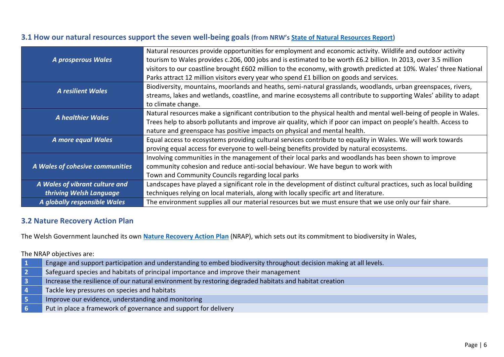# **3.1 How our natural resources support the seven well-being goals (from NRW's [State of Natural Resources Report\)](https://naturalresources.wales/evidence-and-data/research-and-reports/the-state-of-natural-resources-report-assessment-of-the-sustainable-management-of-natural-resources/?lang=en)**

|                                 | Natural resources provide opportunities for employment and economic activity. Wildlife and outdoor activity         |
|---------------------------------|---------------------------------------------------------------------------------------------------------------------|
| A prosperous Wales              | tourism to Wales provides c.206, 000 jobs and is estimated to be worth £6.2 billion. In 2013, over 3.5 million      |
|                                 | visitors to our coastline brought £602 million to the economy, with growth predicted at 10%. Wales' three National  |
|                                 | Parks attract 12 million visitors every year who spend £1 billion on goods and services.                            |
| <b>A resilient Wales</b>        | Biodiversity, mountains, moorlands and heaths, semi-natural grasslands, woodlands, urban greenspaces, rivers,       |
|                                 | streams, lakes and wetlands, coastline, and marine ecosystems all contribute to supporting Wales' ability to adapt  |
|                                 | to climate change.                                                                                                  |
| <b>A healthier Wales</b>        | Natural resources make a significant contribution to the physical health and mental well-being of people in Wales.  |
|                                 | Trees help to absorb pollutants and improve air quality, which if poor can impact on people's health. Access to     |
|                                 | nature and greenspace has positive impacts on physical and mental health.                                           |
| A more equal Wales              | Equal access to ecosystems providing cultural services contribute to equality in Wales. We will work towards        |
|                                 | proving equal access for everyone to well-being benefits provided by natural ecosystems.                            |
|                                 | Involving communities in the management of their local parks and woodlands has been shown to improve                |
| A Wales of cohesive communities | community cohesion and reduce anti-social behaviour. We have begun to work with                                     |
|                                 | Town and Community Councils regarding local parks                                                                   |
| A Wales of vibrant culture and  | Landscapes have played a significant role in the development of distinct cultural practices, such as local building |
| thriving Welsh Language         | techniques relying on local materials, along with locally specific art and literature.                              |
| A globally responsible Wales    | The environment supplies all our material resources but we must ensure that we use only our fair share.             |

### **3.2 Nature Recovery Action Plan**

The Welsh Government launched its own **[Nature Recovery Action Plan](https://www.biodiversitywales.org.uk/Nature-Recovery-Action-Plan)** (NRAP), which sets out its commitment to biodiversity in Wales,

The NRAP objectives are:

| Engage and support participation and understanding to embed biodiversity throughout decision making at all levels. |
|--------------------------------------------------------------------------------------------------------------------|
| Safeguard species and habitats of principal importance and improve their management                                |
| Increase the resilience of our natural environment by restoring degraded habitats and habitat creation             |
| Tackle key pressures on species and habitats                                                                       |
| Improve our evidence, understanding and monitoring                                                                 |
| Put in place a framework of governance and support for delivery                                                    |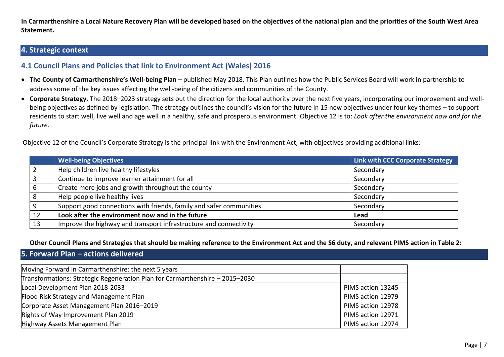**In Carmarthenshire a Local Nature Recovery Plan will be developed based on the objectives of the national plan and the priorities of the South West Area Statement.**

### **4. Strategic context**

### **4.1 Council Plans and Policies that link to Environment Act (Wales) 2016**

- **The County of Carmarthenshire's Well-being Plan** published May 2018. This Plan outlines how the Public Services Board will work in partnership to address some of the key issues affecting the well-being of the citizens and communities of the County.
- **Corporate Strategy.** The 2018–2023 strategy sets out the direction for the local authority over the next five years, incorporating our improvement and wellbeing objectives as defined by legislation. The strategy outlines the council's vision for the future in 15 new objectives under four key themes – to support residents to start well, live well and age well in a healthy, safe and prosperous environment. Objective 12 is to: *Look after the environment now and for the future*.

Objective 12 of the Council's Corporate Strategy is the principal link with the Environment Act, with objectives providing additional links:

|    | <b>Well-being Objectives</b>                                        | Link with CCC Corporate Strategy |
|----|---------------------------------------------------------------------|----------------------------------|
|    | Help children live healthy lifestyles                               | Secondary                        |
|    | Continue to improve learner attainment for all                      | Secondary                        |
|    | Create more jobs and growth throughout the county                   | Secondary                        |
|    | Help people live healthy lives                                      | Secondary                        |
|    | Support good connections with friends, family and safer communities | Secondary                        |
| 12 | Look after the environment now and in the future                    | Lead                             |
| 13 | Improve the highway and transport infrastructure and connectivity   | Secondary                        |

**Other Council Plans and Strategies that should be making reference to the Environment Act and the S6 duty, and relevant PIMS action in Table 2:**

**5. Forward Plan – actions delivered**

| Moving Forward in Carmarthenshire: the next 5 years                          |                   |
|------------------------------------------------------------------------------|-------------------|
| Transformations: Strategic Regeneration Plan for Carmarthenshire - 2015-2030 |                   |
| Local Development Plan 2018-2033                                             | PIMS action 13245 |
| Flood Risk Strategy and Management Plan                                      | PIMS action 12979 |
| Corporate Asset Management Plan 2016-2019                                    | PIMS action 12978 |
| Rights of Way Improvement Plan 2019                                          | PIMS action 12971 |
| Highway Assets Management Plan                                               | PIMS action 12974 |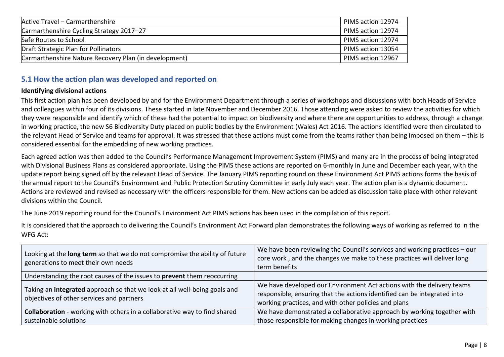| Active Travel - Carmarthenshire                       | PIMS action 12974 |
|-------------------------------------------------------|-------------------|
| Carmarthenshire Cycling Strategy 2017-27              | PIMS action 12974 |
| Safe Routes to School                                 | PIMS action 12974 |
| Draft Strategic Plan for Pollinators                  | PIMS action 13054 |
| Carmarthenshire Nature Recovery Plan (in development) | PIMS action 12967 |

## **5.1 How the action plan was developed and reported on**

### **Identifying divisional actions**

This first action plan has been developed by and for the Environment Department through a series of workshops and discussions with both Heads of Service and colleagues within four of its divisions. These started in late November and December 2016. Those attending were asked to review the activities for which they were responsible and identify which of these had the potential to impact on biodiversity and where there are opportunities to address, through a change in working practice, the new S6 Biodiversity Duty placed on public bodies by the Environment (Wales) Act 2016. The actions identified were then circulated to the relevant Head of Service and teams for approval. It was stressed that these actions must come from the teams rather than being imposed on them – this is considered essential for the embedding of new working practices.

Each agreed action was then added to the Council's Performance Management Improvement System (PIMS) and many are in the process of being integrated with Divisional Business Plans as considered appropriate. Using the PIMS these actions are reported on 6-monthly in June and December each year, with the update report being signed off by the relevant Head of Service. The January PIMS reporting round on these Environment Act PIMS actions forms the basis of the annual report to the Council's Environment and Public Protection Scrutiny Committee in early July each year. The action plan is a dynamic document. Actions are reviewed and revised as necessary with the officers responsible for them. New actions can be added as discussion take place with other relevant divisions within the Council.

The June 2019 reporting round for the Council's Environment Act PIMS actions has been used in the compilation of this report.

It is considered that the approach to delivering the Council's Environment Act Forward plan demonstrates the following ways of working as referred to in the WFG Act:

| Looking at the long term so that we do not compromise the ability of future<br>generations to meet their own needs     | We have been reviewing the Council's services and working practices $-\text{our}$<br>core work, and the changes we make to these practices will deliver long<br>term benefits                             |
|------------------------------------------------------------------------------------------------------------------------|-----------------------------------------------------------------------------------------------------------------------------------------------------------------------------------------------------------|
| Understanding the root causes of the issues to prevent them reoccurring                                                |                                                                                                                                                                                                           |
| Taking an integrated approach so that we look at all well-being goals and<br>objectives of other services and partners | We have developed our Environment Act actions with the delivery teams<br>responsible, ensuring that the actions identified can be integrated into<br>working practices, and with other policies and plans |
| <b>Collaboration</b> - working with others in a collaborative way to find shared                                       | We have demonstrated a collaborative approach by working together with                                                                                                                                    |
| sustainable solutions                                                                                                  | those responsible for making changes in working practices                                                                                                                                                 |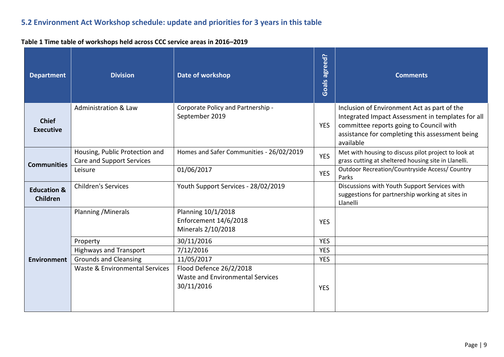# **5.2 Environment Act Workshop schedule: update and priorities for 3 years in this table**

### **Table 1 Time table of workshops held across CCC service areas in 2016–2019**

| <b>Department</b>                         | <b>Division</b>                                                    | Date of workshop                                                                 | <b>Goals agreed?</b> | <b>Comments</b>                                                                                                                                                                                             |
|-------------------------------------------|--------------------------------------------------------------------|----------------------------------------------------------------------------------|----------------------|-------------------------------------------------------------------------------------------------------------------------------------------------------------------------------------------------------------|
| <b>Chief</b><br><b>Executive</b>          | <b>Administration &amp; Law</b>                                    | Corporate Policy and Partnership -<br>September 2019                             | <b>YES</b>           | Inclusion of Environment Act as part of the<br>Integrated Impact Assessment in templates for all<br>committee reports going to Council with<br>assistance for completing this assessment being<br>available |
| <b>Communities</b>                        | Housing, Public Protection and<br><b>Care and Support Services</b> | Homes and Safer Communities - 26/02/2019                                         | <b>YES</b>           | Met with housing to discuss pilot project to look at<br>grass cutting at sheltered housing site in Llanelli.                                                                                                |
|                                           | Leisure                                                            | 01/06/2017                                                                       | <b>YES</b>           | <b>Outdoor Recreation/Countryside Access/ Country</b><br>Parks                                                                                                                                              |
| <b>Education &amp;</b><br><b>Children</b> | <b>Children's Services</b>                                         | Youth Support Services - 28/02/2019                                              |                      | Discussions with Youth Support Services with<br>suggestions for partnership working at sites in<br>Llanelli                                                                                                 |
|                                           | Planning / Minerals                                                | Planning 10/1/2018<br>Enforcement 14/6/2018<br>Minerals 2/10/2018                | <b>YES</b>           |                                                                                                                                                                                                             |
|                                           | Property                                                           | 30/11/2016                                                                       | <b>YES</b>           |                                                                                                                                                                                                             |
|                                           | <b>Highways and Transport</b>                                      | 7/12/2016                                                                        | <b>YES</b>           |                                                                                                                                                                                                             |
| <b>Environment</b>                        | <b>Grounds and Cleansing</b>                                       | 11/05/2017                                                                       | <b>YES</b>           |                                                                                                                                                                                                             |
|                                           | Waste & Environmental Services                                     | Flood Defence 26/2/2018<br><b>Waste and Environmental Services</b><br>30/11/2016 | <b>YES</b>           |                                                                                                                                                                                                             |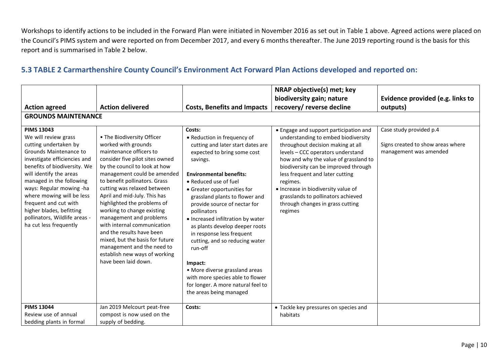Workshops to identify actions to be included in the Forward Plan were initiated in November 2016 as set out in Table 1 above. Agreed actions were placed on the Council's PIMS system and were reported on from December 2017, and every 6 months thereafter. The June 2019 reporting round is the basis for this report and is summarised in Table 2 below.

### **5.3 TABLE 2 Carmarthenshire County Council's Environment Act Forward Plan Actions developed and reported on:**

|                                                                                                                                                                                                                                                                                                                                                                                              |                                                                                                                                                                                                                                                                                                                                                                                                                                                                                                                                                               |                                                                                                                                                                                                                                                                                                                                                                                                                                                                                                                                                                                                     | NRAP objective(s) met; key                                                                                                                                                                                                                                                                                                                                                                                          |                                                                                        |
|----------------------------------------------------------------------------------------------------------------------------------------------------------------------------------------------------------------------------------------------------------------------------------------------------------------------------------------------------------------------------------------------|---------------------------------------------------------------------------------------------------------------------------------------------------------------------------------------------------------------------------------------------------------------------------------------------------------------------------------------------------------------------------------------------------------------------------------------------------------------------------------------------------------------------------------------------------------------|-----------------------------------------------------------------------------------------------------------------------------------------------------------------------------------------------------------------------------------------------------------------------------------------------------------------------------------------------------------------------------------------------------------------------------------------------------------------------------------------------------------------------------------------------------------------------------------------------------|---------------------------------------------------------------------------------------------------------------------------------------------------------------------------------------------------------------------------------------------------------------------------------------------------------------------------------------------------------------------------------------------------------------------|----------------------------------------------------------------------------------------|
| <b>Action agreed</b>                                                                                                                                                                                                                                                                                                                                                                         | <b>Action delivered</b>                                                                                                                                                                                                                                                                                                                                                                                                                                                                                                                                       | <b>Costs, Benefits and Impacts</b>                                                                                                                                                                                                                                                                                                                                                                                                                                                                                                                                                                  | biodiversity gain; nature<br>recovery/ reverse decline                                                                                                                                                                                                                                                                                                                                                              | Evidence provided (e.g. links to<br>outputs)                                           |
| <b>GROUNDS MAINTENANCE</b>                                                                                                                                                                                                                                                                                                                                                                   |                                                                                                                                                                                                                                                                                                                                                                                                                                                                                                                                                               |                                                                                                                                                                                                                                                                                                                                                                                                                                                                                                                                                                                                     |                                                                                                                                                                                                                                                                                                                                                                                                                     |                                                                                        |
| <b>PIMS 13043</b><br>We will review grass<br>cutting undertaken by<br>Grounds Maintenance to<br>investigate efficiencies and<br>benefits of biodiversity. We<br>will identify the areas<br>managed in the following<br>ways: Regular mowing -ha<br>where mowing will be less<br>frequent and cut with<br>higher blades, befitting<br>pollinators, Wildlife areas -<br>ha cut less frequently | • The Biodiversity Officer<br>worked with grounds<br>maintenance officers to<br>consider five pilot sites owned<br>by the council to look at how<br>management could be amended<br>to benefit pollinators. Grass<br>cutting was relaxed between<br>April and mid-July. This has<br>highlighted the problems of<br>working to change existing<br>management and problems<br>with internal communication<br>and the results have been<br>mixed, but the basis for future<br>management and the need to<br>establish new ways of working<br>have been laid down. | Costs:<br>• Reduction in frequency of<br>cutting and later start dates are<br>expected to bring some cost<br>savings.<br><b>Environmental benefits:</b><br>• Reduced use of fuel<br>• Greater opportunities for<br>grassland plants to flower and<br>provide source of nectar for<br>pollinators<br>• Increased infiltration by water<br>as plants develop deeper roots<br>in response less frequent<br>cutting, and so reducing water<br>run-off<br>Impact:<br>• More diverse grassland areas<br>with more species able to flower<br>for longer. A more natural feel to<br>the areas being managed | • Engage and support participation and<br>understanding to embed biodiversity<br>throughout decision making at all<br>levels - CCC operators understand<br>how and why the value of grassland to<br>biodiversity can be improved through<br>less frequent and later cutting<br>regimes.<br>• Increase in biodiversity value of<br>grasslands to pollinators achieved<br>through changes in grass cutting<br>regimes | Case study provided p.4<br>Signs created to show areas where<br>management was amended |
| <b>PIMS 13044</b><br>Review use of annual<br>bedding plants in formal                                                                                                                                                                                                                                                                                                                        | Jan 2019 Melcourt peat-free<br>compost is now used on the<br>supply of bedding.                                                                                                                                                                                                                                                                                                                                                                                                                                                                               | Costs:                                                                                                                                                                                                                                                                                                                                                                                                                                                                                                                                                                                              | • Tackle key pressures on species and<br>habitats                                                                                                                                                                                                                                                                                                                                                                   |                                                                                        |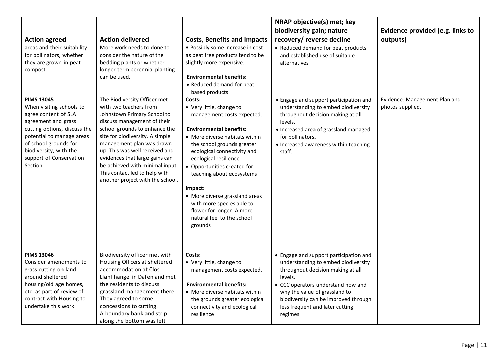|                                                                                                                                                                                                                                                                                                                                                      |                                                                                                                                                                                                                                                                                                                                                                                                                                                                                                                                              |                                                                                                                                                                                                                                                                                                                                                                                                                                                                                                                                                                                                                             | NRAP objective(s) met; key                                                                                                                                                                                                                                                                                                             |                                                   |
|------------------------------------------------------------------------------------------------------------------------------------------------------------------------------------------------------------------------------------------------------------------------------------------------------------------------------------------------------|----------------------------------------------------------------------------------------------------------------------------------------------------------------------------------------------------------------------------------------------------------------------------------------------------------------------------------------------------------------------------------------------------------------------------------------------------------------------------------------------------------------------------------------------|-----------------------------------------------------------------------------------------------------------------------------------------------------------------------------------------------------------------------------------------------------------------------------------------------------------------------------------------------------------------------------------------------------------------------------------------------------------------------------------------------------------------------------------------------------------------------------------------------------------------------------|----------------------------------------------------------------------------------------------------------------------------------------------------------------------------------------------------------------------------------------------------------------------------------------------------------------------------------------|---------------------------------------------------|
|                                                                                                                                                                                                                                                                                                                                                      |                                                                                                                                                                                                                                                                                                                                                                                                                                                                                                                                              |                                                                                                                                                                                                                                                                                                                                                                                                                                                                                                                                                                                                                             | biodiversity gain; nature                                                                                                                                                                                                                                                                                                              | Evidence provided (e.g. links to                  |
| <b>Action agreed</b>                                                                                                                                                                                                                                                                                                                                 | <b>Action delivered</b>                                                                                                                                                                                                                                                                                                                                                                                                                                                                                                                      | <b>Costs, Benefits and Impacts</b>                                                                                                                                                                                                                                                                                                                                                                                                                                                                                                                                                                                          | recovery/ reverse decline                                                                                                                                                                                                                                                                                                              | outputs)                                          |
| areas and their suitability<br>for pollinators, whether<br>they are grown in peat<br>compost.<br><b>PIMS 13045</b><br>When visiting schools to<br>agree content of SLA<br>agreement and grass<br>cutting options, discuss the<br>potential to manage areas<br>of school grounds for<br>biodiversity, with the<br>support of Conservation<br>Section. | More work needs to done to<br>consider the nature of the<br>bedding plants or whether<br>longer-term perennial planting<br>can be used.<br>The Biodiversity Officer met<br>with two teachers from<br>Johnstown Primary School to<br>discuss management of their<br>school grounds to enhance the<br>site for biodiversity. A simple<br>management plan was drawn<br>up. This was well received and<br>evidences that large gains can<br>be achieved with minimal input.<br>This contact led to help with<br>another project with the school. | · Possibly some increase in cost<br>as peat free products tend to be<br>slightly more expensive.<br><b>Environmental benefits:</b><br>• Reduced demand for peat<br>based products<br>Costs:<br>• Very little, change to<br>management costs expected.<br><b>Environmental benefits:</b><br>• More diverse habitats within<br>the school grounds greater<br>ecological connectivity and<br>ecological resilience<br>• Opportunities created for<br>teaching about ecosystems<br>Impact:<br>• More diverse grassland areas<br>with more species able to<br>flower for longer. A more<br>natural feel to the school<br>grounds | • Reduced demand for peat products<br>and established use of suitable<br>alternatives<br>• Engage and support participation and<br>understanding to embed biodiversity<br>throughout decision making at all<br>levels.<br>· Increased area of grassland managed<br>for pollinators.<br>• Increased awareness within teaching<br>staff. | Evidence: Management Plan and<br>photos supplied. |
| <b>PIMS 13046</b><br>Consider amendments to<br>grass cutting on land<br>around sheltered<br>housing/old age homes,<br>etc. as part of review of<br>contract with Housing to<br>undertake this work                                                                                                                                                   | Biodiversity officer met with<br>Housing Officers at sheltered<br>accommodation at Clos<br>Llanfihangel in Dafen and met<br>the residents to discuss<br>grassland management there.<br>They agreed to some<br>concessions to cutting.<br>A boundary bank and strip<br>along the bottom was left                                                                                                                                                                                                                                              | Costs:<br>• Very little, change to<br>management costs expected.<br><b>Environmental benefits:</b><br>• More diverse habitats within<br>the grounds greater ecological<br>connectivity and ecological<br>resilience                                                                                                                                                                                                                                                                                                                                                                                                         | • Engage and support participation and<br>understanding to embed biodiversity<br>throughout decision making at all<br>levels.<br>• CCC operators understand how and<br>why the value of grassland to<br>biodiversity can be improved through<br>less frequent and later cutting<br>regimes.                                            |                                                   |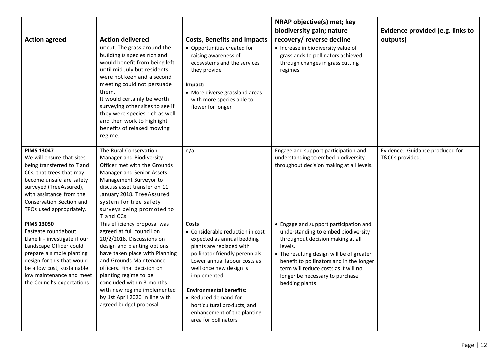|                                                                                                                                                                                                                                                         |                                                                                                                                                                                                                                                                                                                                                                              |                                                                                                                                                                                                                                                                                                                                                                         | NRAP objective(s) met; key                                                                                                                                                                                                                                                                                          |                                                    |
|---------------------------------------------------------------------------------------------------------------------------------------------------------------------------------------------------------------------------------------------------------|------------------------------------------------------------------------------------------------------------------------------------------------------------------------------------------------------------------------------------------------------------------------------------------------------------------------------------------------------------------------------|-------------------------------------------------------------------------------------------------------------------------------------------------------------------------------------------------------------------------------------------------------------------------------------------------------------------------------------------------------------------------|---------------------------------------------------------------------------------------------------------------------------------------------------------------------------------------------------------------------------------------------------------------------------------------------------------------------|----------------------------------------------------|
|                                                                                                                                                                                                                                                         |                                                                                                                                                                                                                                                                                                                                                                              |                                                                                                                                                                                                                                                                                                                                                                         | biodiversity gain; nature                                                                                                                                                                                                                                                                                           | Evidence provided (e.g. links to                   |
| <b>Action agreed</b>                                                                                                                                                                                                                                    | <b>Action delivered</b>                                                                                                                                                                                                                                                                                                                                                      | <b>Costs, Benefits and Impacts</b>                                                                                                                                                                                                                                                                                                                                      | recovery/ reverse decline                                                                                                                                                                                                                                                                                           | outputs)                                           |
|                                                                                                                                                                                                                                                         | uncut. The grass around the<br>building is species rich and<br>would benefit from being left<br>until mid July but residents<br>were not keen and a second<br>meeting could not persuade<br>them.<br>It would certainly be worth<br>surveying other sites to see if<br>they were species rich as well<br>and then work to highlight<br>benefits of relaxed mowing<br>regime. | • Opportunities created for<br>raising awareness of<br>ecosystems and the services<br>they provide<br>Impact:<br>• More diverse grassland areas<br>with more species able to<br>flower for longer                                                                                                                                                                       | • Increase in biodiversity value of<br>grasslands to pollinators achieved<br>through changes in grass cutting<br>regimes                                                                                                                                                                                            |                                                    |
| <b>PIMS 13047</b><br>We will ensure that sites<br>being transferred to T and<br>CCs, that trees that may<br>become unsafe are safety<br>surveyed (TreeAssured),<br>with assistance from the<br>Conservation Section and<br>TPOs used appropriately.     | The Rural Conservation<br>Manager and Biodiversity<br>Officer met with the Grounds<br>Manager and Senior Assets<br>Management Surveyor to<br>discuss asset transfer on 11<br>January 2018. TreeAssured<br>system for tree safety<br>surveys being promoted to<br>T and CCs                                                                                                   | n/a                                                                                                                                                                                                                                                                                                                                                                     | Engage and support participation and<br>understanding to embed biodiversity<br>throughout decision making at all levels.                                                                                                                                                                                            | Evidence: Guidance produced for<br>T&CCs provided. |
| <b>PIMS 13050</b><br>Eastgate roundabout<br>Llanelli - investigate if our<br>Landscape Officer could<br>prepare a simple planting<br>design for this that would<br>be a low cost, sustainable<br>low maintenance and meet<br>the Council's expectations | This efficiency proposal was<br>agreed at full council on<br>20/2/2018. Discussions on<br>design and planting options<br>have taken place with Planning<br>and Grounds Maintenance<br>officers. Final decision on<br>planting regime to be<br>concluded within 3 months<br>with new regime implemented<br>by 1st April 2020 in line with<br>agreed budget proposal.          | <b>Costs</b><br>• Considerable reduction in cost<br>expected as annual bedding<br>plants are replaced with<br>pollinator friendly perennials.<br>Lower annual labour costs as<br>well once new design is<br>implemented<br><b>Environmental benefits:</b><br>• Reduced demand for<br>horticultural products, and<br>enhancement of the planting<br>area for pollinators | • Engage and support participation and<br>understanding to embed biodiversity<br>throughout decision making at all<br>levels.<br>• The resulting design will be of greater<br>benefit to pollinators and in the longer<br>term will reduce costs as it will no<br>longer be necessary to purchase<br>bedding plants |                                                    |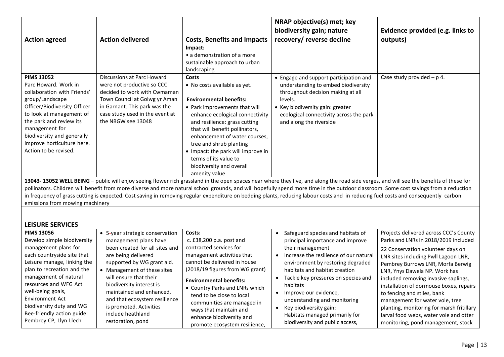|                                                                                                                                                                                                                                                                                                                                                                                                                                                                                                                                                                                                           |                                                                                                                                                                                                                                                                                                                                               | NRAP objective(s) met; key                                                                                         |                                  |  |
|-----------------------------------------------------------------------------------------------------------------------------------------------------------------------------------------------------------------------------------------------------------------------------------------------------------------------------------------------------------------------------------------------------------------------------------------------------------------------------------------------------------------------------------------------------------------------------------------------------------|-----------------------------------------------------------------------------------------------------------------------------------------------------------------------------------------------------------------------------------------------------------------------------------------------------------------------------------------------|--------------------------------------------------------------------------------------------------------------------|----------------------------------|--|
|                                                                                                                                                                                                                                                                                                                                                                                                                                                                                                                                                                                                           |                                                                                                                                                                                                                                                                                                                                               | biodiversity gain; nature                                                                                          | Evidence provided (e.g. links to |  |
| <b>Action delivered</b><br><b>Action agreed</b>                                                                                                                                                                                                                                                                                                                                                                                                                                                                                                                                                           | <b>Costs, Benefits and Impacts</b>                                                                                                                                                                                                                                                                                                            | recovery/ reverse decline                                                                                          | outputs)                         |  |
| <b>PIMS 13052</b><br>Discussions at Parc Howard<br>Parc Howard. Work in<br>were not productive so CCC<br>decided to work with Cwmaman<br>collaboration with Friends'                                                                                                                                                                                                                                                                                                                                                                                                                                      | Impact:<br>• a demonstration of a more<br>sustainable approach to urban<br>landscaping<br>Costs<br>• No costs available as yet.                                                                                                                                                                                                               | • Engage and support participation and<br>understanding to embed biodiversity<br>throughout decision making at all | Case study provided $- p 4$ .    |  |
| group/Landscape<br>Town Council at Golwg yr Aman<br>Officer/Biodiversity Officer<br>in Garnant. This park was the<br>to look at management of<br>case study used in the event at<br>the park and review its<br>the NBGW see 13048<br>management for<br>biodiversity and generally<br>improve horticulture here.<br>Action to be revised.                                                                                                                                                                                                                                                                  | <b>Environmental benefits:</b><br>• Park improvements that will<br>enhance ecological connectivity<br>and resilience: grass cutting<br>that will benefit pollinators,<br>enhancement of water courses.<br>tree and shrub planting<br>• Impact: the park will improve in<br>terms of its value to<br>biodiversity and overall<br>amenity value | levels.<br>• Key biodiversity gain: greater<br>ecological connectivity across the park<br>and along the riverside  |                                  |  |
| 13043-13052 WELL BEING - public will enjoy seeing flower rich grassland in the open spaces near where they live, and along the road side verges, and will see the benefits of these for<br>pollinators. Children will benefit from more diverse and more natural school grounds, and will hopefully spend more time in the outdoor classroom. Some cost savings from a reduction<br>in frequency of grass cutting is expected. Cost saving in removing regular expenditure on bedding plants, reducing labour costs and in reducing fuel costs and consequently carbon<br>emissions from mowing machinery |                                                                                                                                                                                                                                                                                                                                               |                                                                                                                    |                                  |  |

### **LEISURE SERVICES**

| <b>PIMS 13056</b><br>Develop simple biodiversity<br>management plans for<br>each countryside site that<br>Leisure manage, linking the<br>plan to recreation and the<br>management of natural<br>resources and WFG Act<br>well-being goals,<br>Environment Act<br>biodiversity duty and WG<br>Bee-friendly action guide:<br>Pembrey CP, Llyn Llech | • 5-year strategic conservation<br>management plans have<br>been created for all sites and<br>are being delivered<br>supported by WG grant aid.<br>• Management of these sites<br>will ensure that their<br>biodiversity interest is<br>maintained and enhanced,<br>and that ecosystem resilience<br>is promoted. Activities<br>include heathland<br>restoration, pond | Costs:<br>c. £38,200 p.a. post and<br>contracted services for<br>management activities that<br>cannot be delivered in house<br>(2018/19 figures from WG grant)<br><b>Environmental benefits:</b><br>• Country Parks and LNRs which<br>tend to be close to local<br>communities are managed in<br>ways that maintain and<br>enhance biodiversity and<br>promote ecosystem resilience, | Projects delivered across CCC's County<br>Safeguard species and habitats of<br>Parks and LNRs in 2018/2019 included<br>principal importance and improve<br>their management<br>22 Conservation volunteer days on<br>Increase the resilience of our natural<br>LNR sites including Pwll Lagoon LNR,<br>environment by restoring degraded<br>Pembrey Burrows LNR, Morfa Berwig<br>habitats and habitat creation<br>LNR, Ynys Dawela NP. Work has<br>Tackle key pressures on species and<br>included removing invasive saplings,<br>habitats<br>installation of dormouse boxes, repairs<br>Improve our evidence,<br>to fencing and stiles, bank<br>understanding and monitoring<br>management for water vole, tree<br>Key biodiversity gain:<br>planting, monitoring for marsh fritillary<br>larval food webs, water vole and otter<br>Habitats managed primarily for<br>biodiversity and public access,<br>monitoring, pond management, stock |
|---------------------------------------------------------------------------------------------------------------------------------------------------------------------------------------------------------------------------------------------------------------------------------------------------------------------------------------------------|------------------------------------------------------------------------------------------------------------------------------------------------------------------------------------------------------------------------------------------------------------------------------------------------------------------------------------------------------------------------|--------------------------------------------------------------------------------------------------------------------------------------------------------------------------------------------------------------------------------------------------------------------------------------------------------------------------------------------------------------------------------------|---------------------------------------------------------------------------------------------------------------------------------------------------------------------------------------------------------------------------------------------------------------------------------------------------------------------------------------------------------------------------------------------------------------------------------------------------------------------------------------------------------------------------------------------------------------------------------------------------------------------------------------------------------------------------------------------------------------------------------------------------------------------------------------------------------------------------------------------------------------------------------------------------------------------------------------------|
|---------------------------------------------------------------------------------------------------------------------------------------------------------------------------------------------------------------------------------------------------------------------------------------------------------------------------------------------------|------------------------------------------------------------------------------------------------------------------------------------------------------------------------------------------------------------------------------------------------------------------------------------------------------------------------------------------------------------------------|--------------------------------------------------------------------------------------------------------------------------------------------------------------------------------------------------------------------------------------------------------------------------------------------------------------------------------------------------------------------------------------|---------------------------------------------------------------------------------------------------------------------------------------------------------------------------------------------------------------------------------------------------------------------------------------------------------------------------------------------------------------------------------------------------------------------------------------------------------------------------------------------------------------------------------------------------------------------------------------------------------------------------------------------------------------------------------------------------------------------------------------------------------------------------------------------------------------------------------------------------------------------------------------------------------------------------------------------|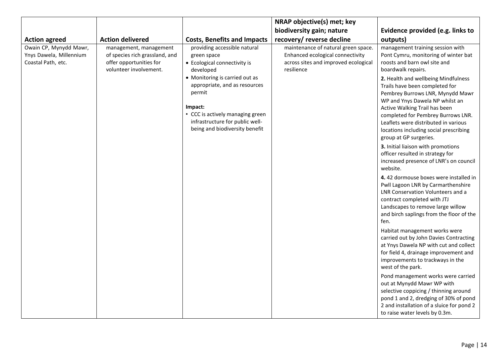| biodiversity gain; nature<br><b>Action delivered</b><br>recovery/ reverse decline<br><b>Costs, Benefits and Impacts</b><br>outputs)<br><b>Action agreed</b><br>Owain CP, Mynydd Mawr,<br>providing accessible natural<br>management, management<br>maintenance of natural green space.<br>management training session with<br>Enhanced ecological connectivity<br>Ynys Dawela, Millennium<br>of species rich grassland, and<br>green space<br>Coastal Path, etc.<br>offer opportunities for<br>across sites and improved ecological<br>roosts and barn owl site and<br>• Ecological connectivity is<br>volunteer involvement.<br>boardwalk repairs.<br>resilience<br>developed<br>• Monitoring is carried out as<br>appropriate, and as resources<br>Trails have been completed for<br>permit<br>WP and Ynys Dawela NP whilst an<br>Impact:<br>Active Walking Trail has been<br>• CCC is actively managing green<br>infrastructure for public well-<br>Leaflets were distributed in various<br>being and biodiversity benefit<br>group at GP surgeries.<br>3. Initial liaison with promotions<br>officer resulted in strategy for<br>website.<br>LNR Conservation Volunteers and a<br>contract completed with JTJ<br>Landscapes to remove large willow<br>fen.<br>Habitat management works were |  | NRAP objective(s) met; key |                                                                                                                                                                                                                                                                                                                                                                                                                                                                                                                                                                                                                                                                        |
|-------------------------------------------------------------------------------------------------------------------------------------------------------------------------------------------------------------------------------------------------------------------------------------------------------------------------------------------------------------------------------------------------------------------------------------------------------------------------------------------------------------------------------------------------------------------------------------------------------------------------------------------------------------------------------------------------------------------------------------------------------------------------------------------------------------------------------------------------------------------------------------------------------------------------------------------------------------------------------------------------------------------------------------------------------------------------------------------------------------------------------------------------------------------------------------------------------------------------------------------------------------------------------------------------|--|----------------------------|------------------------------------------------------------------------------------------------------------------------------------------------------------------------------------------------------------------------------------------------------------------------------------------------------------------------------------------------------------------------------------------------------------------------------------------------------------------------------------------------------------------------------------------------------------------------------------------------------------------------------------------------------------------------|
|                                                                                                                                                                                                                                                                                                                                                                                                                                                                                                                                                                                                                                                                                                                                                                                                                                                                                                                                                                                                                                                                                                                                                                                                                                                                                                 |  |                            | Evidence provided (e.g. links to                                                                                                                                                                                                                                                                                                                                                                                                                                                                                                                                                                                                                                       |
|                                                                                                                                                                                                                                                                                                                                                                                                                                                                                                                                                                                                                                                                                                                                                                                                                                                                                                                                                                                                                                                                                                                                                                                                                                                                                                 |  |                            |                                                                                                                                                                                                                                                                                                                                                                                                                                                                                                                                                                                                                                                                        |
| improvements to trackways in the<br>west of the park.<br>out at Mynydd Mawr WP with                                                                                                                                                                                                                                                                                                                                                                                                                                                                                                                                                                                                                                                                                                                                                                                                                                                                                                                                                                                                                                                                                                                                                                                                             |  |                            | Pont Cymru, monitoring of winter bat<br>2. Health and wellbeing Mindfulness<br>Pembrey Burrows LNR, Mynydd Mawr<br>completed for Pembrey Burrows LNR.<br>locations including social prescribing<br>increased presence of LNR's on council<br>4.42 dormouse boxes were installed in<br>Pwll Lagoon LNR by Carmarthenshire<br>and birch saplings from the floor of the<br>carried out by John Davies Contracting<br>at Ynys Dawela NP with cut and collect<br>for field 4, drainage improvement and<br>Pond management works were carried<br>selective coppicing / thinning around<br>pond 1 and 2, dredging of 30% of pond<br>2 and installation of a sluice for pond 2 |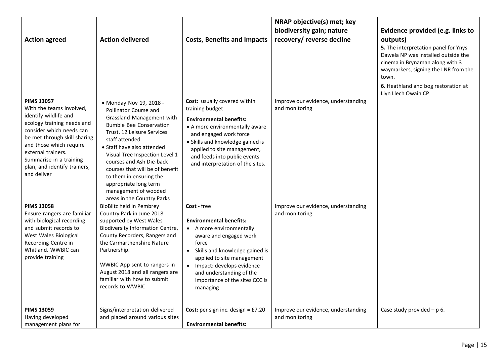|                                                                                                                                                                                                                                                                                             |                                                                                                                                                                                                                                                                                                                                                                                                          |                                                                                                                                                                                                                                                                                         | NRAP objective(s) met; key                            |                                                                                                                                                                                                                               |
|---------------------------------------------------------------------------------------------------------------------------------------------------------------------------------------------------------------------------------------------------------------------------------------------|----------------------------------------------------------------------------------------------------------------------------------------------------------------------------------------------------------------------------------------------------------------------------------------------------------------------------------------------------------------------------------------------------------|-----------------------------------------------------------------------------------------------------------------------------------------------------------------------------------------------------------------------------------------------------------------------------------------|-------------------------------------------------------|-------------------------------------------------------------------------------------------------------------------------------------------------------------------------------------------------------------------------------|
|                                                                                                                                                                                                                                                                                             |                                                                                                                                                                                                                                                                                                                                                                                                          |                                                                                                                                                                                                                                                                                         | biodiversity gain; nature                             | Evidence provided (e.g. links to                                                                                                                                                                                              |
| <b>Action agreed</b>                                                                                                                                                                                                                                                                        | <b>Action delivered</b>                                                                                                                                                                                                                                                                                                                                                                                  | <b>Costs, Benefits and Impacts</b>                                                                                                                                                                                                                                                      | recovery/ reverse decline                             | outputs)                                                                                                                                                                                                                      |
|                                                                                                                                                                                                                                                                                             |                                                                                                                                                                                                                                                                                                                                                                                                          |                                                                                                                                                                                                                                                                                         |                                                       | 5. The interpretation panel for Ynys<br>Dawela NP was installed outside the<br>cinema in Brynaman along with 3<br>waymarkers, signing the LNR from the<br>town.<br>6. Heathland and bog restoration at<br>Llyn Llech Owain CP |
| <b>PIMS 13057</b><br>With the teams involved,<br>identify wildlife and<br>ecology training needs and<br>consider which needs can<br>be met through skill sharing<br>and those which require<br>external trainers.<br>Summarise in a training<br>plan, and identify trainers,<br>and deliver | • Monday Nov 19, 2018 -<br>Pollinator Course and<br>Grassland Management with<br><b>Bumble Bee Conservation</b><br>Trust. 12 Leisure Services<br>staff attended<br>• Staff have also attended<br>Visual Tree Inspection Level 1<br>courses and Ash Die-back<br>courses that will be of benefit<br>to them in ensuring the<br>appropriate long term<br>management of wooded<br>areas in the Country Parks | Cost: usually covered within<br>training budget<br><b>Environmental benefits:</b><br>• A more environmentally aware<br>and engaged work force<br>• Skills and knowledge gained is<br>applied to site management,<br>and feeds into public events<br>and interpretation of the sites.    | Improve our evidence, understanding<br>and monitoring |                                                                                                                                                                                                                               |
| <b>PIMS 13058</b><br>Ensure rangers are familiar<br>with biological recording<br>and submit records to<br>West Wales Biological<br>Recording Centre in<br>Whitland. WWBIC can<br>provide training                                                                                           | <b>BioBlitz held in Pembrey</b><br>Country Park in June 2018<br>supported by West Wales<br><b>Biodiversity Information Centre,</b><br>County Recorders, Rangers and<br>the Carmarthenshire Nature<br>Partnership.<br>WWBIC App sent to rangers in<br>August 2018 and all rangers are<br>familiar with how to submit<br>records to WWBIC                                                                  | Cost - free<br><b>Environmental benefits:</b><br>• A more environmentally<br>aware and engaged work<br>force<br>• Skills and knowledge gained is<br>applied to site management<br>· Impact: develops evidence<br>and understanding of the<br>importance of the sites CCC is<br>managing | Improve our evidence, understanding<br>and monitoring |                                                                                                                                                                                                                               |
| <b>PIMS 13059</b><br>Having developed<br>management plans for                                                                                                                                                                                                                               | Signs/interpretation delivered<br>and placed around various sites                                                                                                                                                                                                                                                                                                                                        | Cost: per sign inc. design = $£7.20$<br><b>Environmental benefits:</b>                                                                                                                                                                                                                  | Improve our evidence, understanding<br>and monitoring | Case study provided $- p 6$ .                                                                                                                                                                                                 |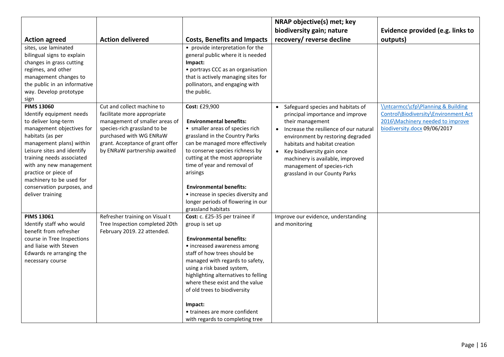|                                                                                                                                                                                                                                                                                                                                                |                                                                                                                                                                                                                            |                                                                                                                                                                                                                                                                                                                                                                                                               | NRAP objective(s) met; key                                                                                                                                                                                                                                                                                                                 |                                                                                                                                                           |
|------------------------------------------------------------------------------------------------------------------------------------------------------------------------------------------------------------------------------------------------------------------------------------------------------------------------------------------------|----------------------------------------------------------------------------------------------------------------------------------------------------------------------------------------------------------------------------|---------------------------------------------------------------------------------------------------------------------------------------------------------------------------------------------------------------------------------------------------------------------------------------------------------------------------------------------------------------------------------------------------------------|--------------------------------------------------------------------------------------------------------------------------------------------------------------------------------------------------------------------------------------------------------------------------------------------------------------------------------------------|-----------------------------------------------------------------------------------------------------------------------------------------------------------|
|                                                                                                                                                                                                                                                                                                                                                |                                                                                                                                                                                                                            |                                                                                                                                                                                                                                                                                                                                                                                                               | biodiversity gain; nature                                                                                                                                                                                                                                                                                                                  | Evidence provided (e.g. links to                                                                                                                          |
| <b>Action agreed</b>                                                                                                                                                                                                                                                                                                                           | <b>Action delivered</b>                                                                                                                                                                                                    | <b>Costs, Benefits and Impacts</b>                                                                                                                                                                                                                                                                                                                                                                            | recovery/ reverse decline                                                                                                                                                                                                                                                                                                                  | outputs)                                                                                                                                                  |
| sites, use laminated<br>bilingual signs to explain<br>changes in grass cutting<br>regimes, and other<br>management changes to<br>the public in an informative<br>way. Develop prototype<br>sign                                                                                                                                                |                                                                                                                                                                                                                            | • provide interpretation for the<br>general public where it is needed<br>Impact:<br>• portrays CCC as an organisation<br>that is actively managing sites for<br>pollinators, and engaging with<br>the public.                                                                                                                                                                                                 |                                                                                                                                                                                                                                                                                                                                            |                                                                                                                                                           |
| <b>PIMS 13060</b><br>Identify equipment needs<br>to deliver long-term<br>management objectives for<br>habitats (as per<br>management plans) within<br>Leisure sites and identify<br>training needs associated<br>with any new management<br>practice or piece of<br>machinery to be used for<br>conservation purposes, and<br>deliver training | Cut and collect machine to<br>facilitate more appropriate<br>management of smaller areas of<br>species-rich grassland to be<br>purchased with WG ENRaW<br>grant. Acceptance of grant offer<br>by ENRaW partnership awaited | Cost: £29,900<br><b>Environmental benefits:</b><br>• smaller areas of species rich<br>grassland in the Country Parks<br>can be managed more effectively<br>to conserve species richness by<br>cutting at the most appropriate<br>time of year and removal of<br>arisings<br><b>Environmental benefits:</b><br>• increase in species diversity and<br>longer periods of flowering in our<br>grassland habitats | Safeguard species and habitats of<br>principal importance and improve<br>their management<br>Increase the resilience of our natural<br>environment by restoring degraded<br>habitats and habitat creation<br>Key biodiversity gain once<br>machinery is available, improved<br>management of species-rich<br>grassland in our County Parks | <b>\\ntcarmcc\cfp\Planning &amp; Building</b><br>Control\Biodiversity\Environment Act<br>2016\Machinery needed to improve<br>biodiversity.docx 09/06/2017 |
| <b>PIMS 13061</b><br>Identify staff who would<br>benefit from refresher<br>course in Tree Inspections<br>and liaise with Steven<br>Edwards re arranging the<br>necessary course                                                                                                                                                                | Refresher training on Visual t<br>Tree Inspection completed 20th<br>February 2019. 22 attended.                                                                                                                            | Cost: c. £25-35 per trainee if<br>group is set up<br><b>Environmental benefits:</b><br>• increased awareness among<br>staff of how trees should be<br>managed with regards to safety,<br>using a risk based system,<br>highlighting alternatives to felling<br>where these exist and the value<br>of old trees to biodiversity<br>Impact:<br>• trainees are more confident<br>with regards to completing tree | Improve our evidence, understanding<br>and monitoring                                                                                                                                                                                                                                                                                      |                                                                                                                                                           |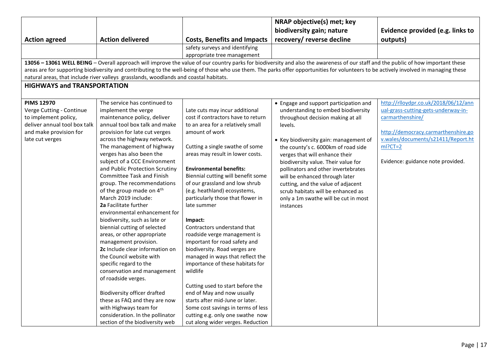|                                                  |                                                                                       |                                                                      | NRAP objective(s) met; key                                                                                                                                                             |                                                         |
|--------------------------------------------------|---------------------------------------------------------------------------------------|----------------------------------------------------------------------|----------------------------------------------------------------------------------------------------------------------------------------------------------------------------------------|---------------------------------------------------------|
|                                                  |                                                                                       |                                                                      | biodiversity gain; nature                                                                                                                                                              | Evidence provided (e.g. links to                        |
| <b>Action agreed</b>                             | <b>Action delivered</b>                                                               | <b>Costs, Benefits and Impacts</b>                                   | recovery/ reverse decline                                                                                                                                                              | outputs)                                                |
|                                                  |                                                                                       | safety surveys and identifying                                       |                                                                                                                                                                                        |                                                         |
|                                                  |                                                                                       | appropriate tree management                                          |                                                                                                                                                                                        |                                                         |
|                                                  |                                                                                       |                                                                      | 13056 - 13061 WELL BEING - Overall approach will improve the value of our country parks for biodiversity and also the awareness of our staff and the public of how important these     |                                                         |
|                                                  |                                                                                       |                                                                      | areas are for supporting biodiversity and contributing to the well-being of those who use them. The parks offer opportunities for volunteers to be actively involved in managing these |                                                         |
|                                                  | natural areas, that include river valleys grasslands, woodlands and coastal habitats. |                                                                      |                                                                                                                                                                                        |                                                         |
| <b>HIGHWAYS and TRANSPORTATION</b>               |                                                                                       |                                                                      |                                                                                                                                                                                        |                                                         |
|                                                  |                                                                                       |                                                                      |                                                                                                                                                                                        |                                                         |
| <b>PIMS 12970</b>                                | The service has continued to                                                          |                                                                      | • Engage and support participation and                                                                                                                                                 | http://rlloydpr.co.uk/2018/06/12/ann                    |
| Verge Cutting - Continue<br>to implement policy, | implement the verge<br>maintenance policy, deliver                                    | Late cuts may incur additional<br>cost if contractors have to return | understanding to embed biodiversity                                                                                                                                                    | ual-grass-cutting-gets-underway-in-<br>carmarthenshire/ |
| deliver annual tool box talk                     | annual tool box talk and make                                                         | to an area for a relatively small                                    | throughout decision making at all<br>levels.                                                                                                                                           |                                                         |
| and make provision for                           | provision for late cut verges                                                         | amount of work                                                       |                                                                                                                                                                                        | http://democracy.carmarthenshire.go                     |
| late cut verges                                  | across the highway network.                                                           |                                                                      | • Key biodiversity gain: management of                                                                                                                                                 | v.wales/documents/s21411/Report.ht                      |
|                                                  | The management of highway                                                             | Cutting a single swathe of some                                      | the county's c. 6000km of road side                                                                                                                                                    | $ml?CT=2$                                               |
|                                                  | verges has also been the                                                              | areas may result in lower costs.                                     | verges that will enhance their                                                                                                                                                         |                                                         |
|                                                  | subject of a CCC Environment                                                          |                                                                      | biodiversity value. Their value for                                                                                                                                                    | Evidence: guidance note provided.                       |
|                                                  | and Public Protection Scrutiny                                                        | <b>Environmental benefits:</b>                                       | pollinators and other invertebrates                                                                                                                                                    |                                                         |
|                                                  | <b>Committee Task and Finish</b>                                                      | Biennial cutting will benefit some                                   | will be enhanced through later                                                                                                                                                         |                                                         |
|                                                  | group. The recommendations                                                            | of our grassland and low shrub                                       | cutting, and the value of adjacent                                                                                                                                                     |                                                         |
|                                                  | of the group made on 4 <sup>th</sup>                                                  | (e.g. heathland) ecosystems,                                         | scrub habitats will be enhanced as                                                                                                                                                     |                                                         |
|                                                  | March 2019 include:                                                                   | particularly those that flower in                                    | only a 1m swathe will be cut in most                                                                                                                                                   |                                                         |
|                                                  | 2a Facilitate further                                                                 | late summer                                                          | instances                                                                                                                                                                              |                                                         |
|                                                  | environmental enhancement for                                                         |                                                                      |                                                                                                                                                                                        |                                                         |
|                                                  | biodiversity, such as late or                                                         | Impact:<br>Contractors understand that                               |                                                                                                                                                                                        |                                                         |
|                                                  | biennial cutting of selected<br>areas, or other appropriate                           | roadside verge management is                                         |                                                                                                                                                                                        |                                                         |
|                                                  | management provision.                                                                 | important for road safety and                                        |                                                                                                                                                                                        |                                                         |
|                                                  | 2c Include clear information on                                                       | biodiversity. Road verges are                                        |                                                                                                                                                                                        |                                                         |
|                                                  | the Council website with                                                              | managed in ways that reflect the                                     |                                                                                                                                                                                        |                                                         |
|                                                  | specific regard to the                                                                | importance of these habitats for                                     |                                                                                                                                                                                        |                                                         |
|                                                  | conservation and management                                                           | wildlife                                                             |                                                                                                                                                                                        |                                                         |
|                                                  | of roadside verges.                                                                   |                                                                      |                                                                                                                                                                                        |                                                         |
|                                                  |                                                                                       | Cutting used to start before the                                     |                                                                                                                                                                                        |                                                         |
|                                                  | <b>Biodiversity officer drafted</b>                                                   | end of May and now usually                                           |                                                                                                                                                                                        |                                                         |
|                                                  | these as FAQ and they are now                                                         | starts after mid-June or later.                                      |                                                                                                                                                                                        |                                                         |
|                                                  | with Highways team for                                                                | Some cost savings in terms of less                                   |                                                                                                                                                                                        |                                                         |
|                                                  | consideration. In the pollinator                                                      | cutting e.g. only one swathe now                                     |                                                                                                                                                                                        |                                                         |
|                                                  | section of the biodiversity web                                                       | cut along wider verges. Reduction                                    |                                                                                                                                                                                        |                                                         |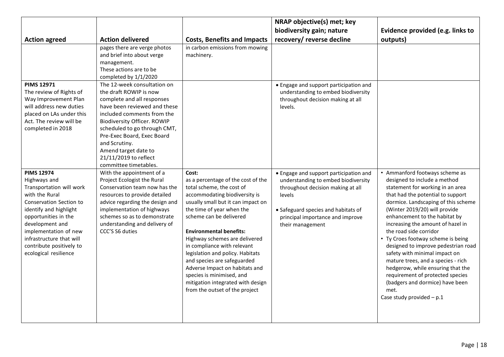|                                                                                                                                                                                                                                                                                           |                                                                                                                                                                                                                                                                                                                                                  |                                                                                                                                                                                                                                                                                                                                                                                                                                                                                                                    | NRAP objective(s) met; key                                                                                                                                                                                                  |                                                                                                                                                                                                                                                                                                                                                                                                                                                                                                                                                                                                                         |
|-------------------------------------------------------------------------------------------------------------------------------------------------------------------------------------------------------------------------------------------------------------------------------------------|--------------------------------------------------------------------------------------------------------------------------------------------------------------------------------------------------------------------------------------------------------------------------------------------------------------------------------------------------|--------------------------------------------------------------------------------------------------------------------------------------------------------------------------------------------------------------------------------------------------------------------------------------------------------------------------------------------------------------------------------------------------------------------------------------------------------------------------------------------------------------------|-----------------------------------------------------------------------------------------------------------------------------------------------------------------------------------------------------------------------------|-------------------------------------------------------------------------------------------------------------------------------------------------------------------------------------------------------------------------------------------------------------------------------------------------------------------------------------------------------------------------------------------------------------------------------------------------------------------------------------------------------------------------------------------------------------------------------------------------------------------------|
|                                                                                                                                                                                                                                                                                           |                                                                                                                                                                                                                                                                                                                                                  |                                                                                                                                                                                                                                                                                                                                                                                                                                                                                                                    | biodiversity gain; nature                                                                                                                                                                                                   | Evidence provided (e.g. links to                                                                                                                                                                                                                                                                                                                                                                                                                                                                                                                                                                                        |
| <b>Action agreed</b>                                                                                                                                                                                                                                                                      | <b>Action delivered</b>                                                                                                                                                                                                                                                                                                                          | <b>Costs, Benefits and Impacts</b>                                                                                                                                                                                                                                                                                                                                                                                                                                                                                 | recovery/ reverse decline                                                                                                                                                                                                   | outputs)                                                                                                                                                                                                                                                                                                                                                                                                                                                                                                                                                                                                                |
|                                                                                                                                                                                                                                                                                           | pages there are verge photos<br>and brief into about verge<br>management.<br>These actions are to be<br>completed by 1/1/2020                                                                                                                                                                                                                    | in carbon emissions from mowing<br>machinery.                                                                                                                                                                                                                                                                                                                                                                                                                                                                      |                                                                                                                                                                                                                             |                                                                                                                                                                                                                                                                                                                                                                                                                                                                                                                                                                                                                         |
| <b>PIMS 12971</b><br>The review of Rights of<br>Way Improvement Plan<br>will address new duties<br>placed on LAs under this<br>Act. The review will be<br>completed in 2018                                                                                                               | The 12-week consultation on<br>the draft ROWIP is now<br>complete and all responses<br>have been reviewed and these<br>included comments from the<br><b>Biodiversity Officer. ROWIP</b><br>scheduled to go through CMT,<br>Pre-Exec Board, Exec Board<br>and Scrutiny.<br>Amend target date to<br>21/11/2019 to reflect<br>committee timetables. |                                                                                                                                                                                                                                                                                                                                                                                                                                                                                                                    | • Engage and support participation and<br>understanding to embed biodiversity<br>throughout decision making at all<br>levels.                                                                                               |                                                                                                                                                                                                                                                                                                                                                                                                                                                                                                                                                                                                                         |
| <b>PIMS 12974</b><br>Highways and<br>Transportation will work<br>with the Rural<br>Conservation Section to<br>identify and highlight<br>opportunities in the<br>development and<br>implementation of new<br>infrastructure that will<br>contribute positively to<br>ecological resilience | With the appointment of a<br>Project Ecologist the Rural<br>Conservation team now has the<br>resources to provide detailed<br>advice regarding the design and<br>implementation of highways<br>schemes so as to demonstrate<br>understanding and delivery of<br>CCC'S S6 duties                                                                  | Cost:<br>as a percentage of the cost of the<br>total scheme, the cost of<br>accommodating biodiversity is<br>usually small but it can impact on<br>the time of year when the<br>scheme can be delivered<br><b>Environmental benefits:</b><br>Highway schemes are delivered<br>in compliance with relevant<br>legislation and policy. Habitats<br>and species are safeguarded<br>Adverse Impact on habitats and<br>species is minimised, and<br>mitigation integrated with design<br>from the outset of the project | • Engage and support participation and<br>understanding to embed biodiversity<br>throughout decision making at all<br>levels<br>• Safeguard species and habitats of<br>principal importance and improve<br>their management | • Ammanford footways scheme as<br>designed to include a method<br>statement for working in an area<br>that had the potential to support<br>dormice. Landscaping of this scheme<br>(Winter 2019/20) will provide<br>enhancement to the habitat by<br>increasing the amount of hazel in<br>the road side corridor<br>• Ty Croes footway scheme is being<br>designed to improve pedestrian road<br>safety with minimal impact on<br>mature trees, and a species - rich<br>hedgerow, while ensuring that the<br>requirement of protected species<br>(badgers and dormice) have been<br>met.<br>Case study provided $- p.1 $ |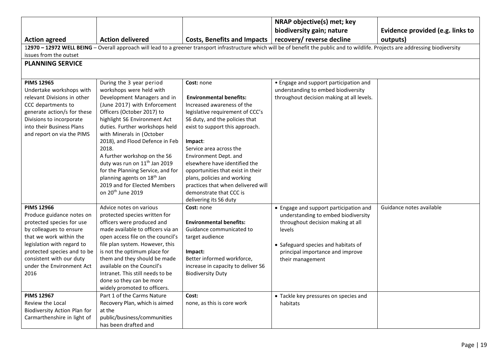|                                                                                                                                                                                                                                                                 |                                                                                                                                                                                                                                                                                                                                                                                                   |                                                                                                                                                                                                                                                             | NRAP objective(s) met; key                                                                                                                                                                                                  |                                  |  |
|-----------------------------------------------------------------------------------------------------------------------------------------------------------------------------------------------------------------------------------------------------------------|---------------------------------------------------------------------------------------------------------------------------------------------------------------------------------------------------------------------------------------------------------------------------------------------------------------------------------------------------------------------------------------------------|-------------------------------------------------------------------------------------------------------------------------------------------------------------------------------------------------------------------------------------------------------------|-----------------------------------------------------------------------------------------------------------------------------------------------------------------------------------------------------------------------------|----------------------------------|--|
|                                                                                                                                                                                                                                                                 |                                                                                                                                                                                                                                                                                                                                                                                                   |                                                                                                                                                                                                                                                             | biodiversity gain; nature                                                                                                                                                                                                   | Evidence provided (e.g. links to |  |
| <b>Action agreed</b>                                                                                                                                                                                                                                            | <b>Action delivered</b>                                                                                                                                                                                                                                                                                                                                                                           | Costs, Benefits and Impacts   recovery/ reverse decline                                                                                                                                                                                                     |                                                                                                                                                                                                                             | outputs)                         |  |
|                                                                                                                                                                                                                                                                 |                                                                                                                                                                                                                                                                                                                                                                                                   |                                                                                                                                                                                                                                                             | 12970 - 12972 WELL BEING - Overall approach will lead to a greener transport infrastructure which will be of benefit the public and to wildlife. Projects are addressing biodiversity                                       |                                  |  |
| issues from the outset                                                                                                                                                                                                                                          |                                                                                                                                                                                                                                                                                                                                                                                                   |                                                                                                                                                                                                                                                             |                                                                                                                                                                                                                             |                                  |  |
| <b>PLANNING SERVICE</b>                                                                                                                                                                                                                                         |                                                                                                                                                                                                                                                                                                                                                                                                   |                                                                                                                                                                                                                                                             |                                                                                                                                                                                                                             |                                  |  |
|                                                                                                                                                                                                                                                                 |                                                                                                                                                                                                                                                                                                                                                                                                   |                                                                                                                                                                                                                                                             |                                                                                                                                                                                                                             |                                  |  |
| <b>PIMS 12965</b><br>Undertake workshops with<br>relevant Divisions in other<br>CCC departments to<br>generate action/s for these<br>Divisions to incorporate<br>into their Business Plans<br>and report on via the PIMS                                        | During the 3 year period<br>workshops were held with<br>Development Managers and in<br>(June 2017) with Enforcement<br>Officers (October 2017) to<br>highlight S6 Environment Act<br>duties. Further workshops held<br>with Minerals in (October                                                                                                                                                  | Cost: none<br><b>Environmental benefits:</b><br>Increased awareness of the<br>legislative requirement of CCC's<br>S6 duty, and the policies that<br>exist to support this approach.                                                                         | • Engage and support participation and<br>understanding to embed biodiversity<br>throughout decision making at all levels.                                                                                                  |                                  |  |
|                                                                                                                                                                                                                                                                 | 2018), and Flood Defence in Feb<br>2018.<br>A further workshop on the S6<br>duty was run on 11 <sup>th</sup> Jan 2019<br>for the Planning Service, and for<br>planning agents on 18 <sup>th</sup> Jan<br>2019 and for Elected Members<br>on 20 <sup>th</sup> June 2019                                                                                                                            | Impact:<br>Service area across the<br>Environment Dept. and<br>elsewhere have identified the<br>opportunities that exist in their<br>plans, policies and working<br>practices that when delivered will<br>demonstrate that CCC is<br>delivering its S6 duty |                                                                                                                                                                                                                             |                                  |  |
| <b>PIMS 12966</b><br>Produce guidance notes on<br>protected species for use<br>by colleagues to ensure<br>that we work within the<br>legislation with regard to<br>protected species and to be<br>consistent with our duty<br>under the Environment Act<br>2016 | Advice notes on various<br>protected species written for<br>officers were produced and<br>made available to officers via an<br>open access file on the council's<br>file plan system. However, this<br>is not the optimum place for<br>them and they should be made<br>available on the Council's<br>Intranet. This still needs to be<br>done so they can be more<br>widely promoted to officers. | Cost: none<br><b>Environmental benefits:</b><br>Guidance communicated to<br>target audience<br>Impact:<br>Better informed workforce,<br>increase in capacity to deliver S6<br><b>Biodiversity Duty</b>                                                      | • Engage and support participation and<br>understanding to embed biodiversity<br>throughout decision making at all<br>levels<br>• Safeguard species and habitats of<br>principal importance and improve<br>their management | Guidance notes available         |  |
| <b>PIMS 12967</b><br>Review the Local<br>Biodiversity Action Plan for<br>Carmarthenshire in light of                                                                                                                                                            | Part 1 of the Carms Nature<br>Recovery Plan, which is aimed<br>at the<br>public/business/communities<br>has been drafted and                                                                                                                                                                                                                                                                      | Cost:<br>none, as this is core work                                                                                                                                                                                                                         | • Tackle key pressures on species and<br>habitats                                                                                                                                                                           |                                  |  |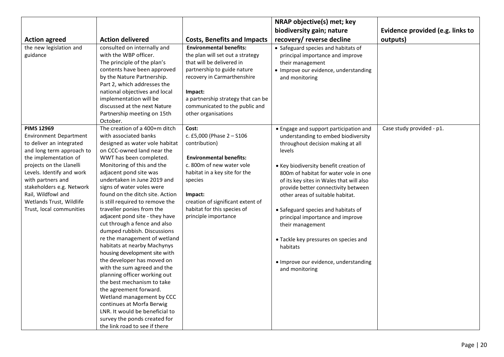|                                                                                                                                                                                                                                                                                                          |                                                                                                                                                                                                                                                                                                                                                                                                                                                                                                                                                                                                                                                                                                                                                                                                                                                            |                                                                                                                                                                                                                                                                                  | NRAP objective(s) met; key                                                                                                                                                                                                                                                                                                                                                                                                                                                                                  |                                  |
|----------------------------------------------------------------------------------------------------------------------------------------------------------------------------------------------------------------------------------------------------------------------------------------------------------|------------------------------------------------------------------------------------------------------------------------------------------------------------------------------------------------------------------------------------------------------------------------------------------------------------------------------------------------------------------------------------------------------------------------------------------------------------------------------------------------------------------------------------------------------------------------------------------------------------------------------------------------------------------------------------------------------------------------------------------------------------------------------------------------------------------------------------------------------------|----------------------------------------------------------------------------------------------------------------------------------------------------------------------------------------------------------------------------------------------------------------------------------|-------------------------------------------------------------------------------------------------------------------------------------------------------------------------------------------------------------------------------------------------------------------------------------------------------------------------------------------------------------------------------------------------------------------------------------------------------------------------------------------------------------|----------------------------------|
|                                                                                                                                                                                                                                                                                                          |                                                                                                                                                                                                                                                                                                                                                                                                                                                                                                                                                                                                                                                                                                                                                                                                                                                            |                                                                                                                                                                                                                                                                                  | biodiversity gain; nature                                                                                                                                                                                                                                                                                                                                                                                                                                                                                   | Evidence provided (e.g. links to |
| <b>Action agreed</b>                                                                                                                                                                                                                                                                                     | <b>Action delivered</b>                                                                                                                                                                                                                                                                                                                                                                                                                                                                                                                                                                                                                                                                                                                                                                                                                                    | <b>Costs, Benefits and Impacts</b>                                                                                                                                                                                                                                               | recovery/ reverse decline                                                                                                                                                                                                                                                                                                                                                                                                                                                                                   | outputs)                         |
| the new legislation and<br>guidance<br><b>PIMS 12969</b>                                                                                                                                                                                                                                                 | consulted on internally and<br>with the WBP officer.<br>The principle of the plan's<br>contents have been approved<br>by the Nature Partnership.<br>Part 2, which addresses the<br>national objectives and local<br>implementation will be<br>discussed at the next Nature<br>Partnership meeting on 15th<br>October.<br>The creation of a 400+m ditch                                                                                                                                                                                                                                                                                                                                                                                                                                                                                                     | <b>Environmental benefits:</b><br>the plan will set out a strategy<br>that will be delivered in<br>partnership to guide nature<br>recovery in Carmarthenshire<br>Impact:<br>a partnership strategy that can be<br>communicated to the public and<br>other organisations<br>Cost: | • Safeguard species and habitats of<br>principal importance and improve<br>their management<br>• Improve our evidence, understanding<br>and monitoring<br>• Engage and support participation and                                                                                                                                                                                                                                                                                                            | Case study provided - p1.        |
| <b>Environment Department</b><br>to deliver an integrated<br>and long term approach to<br>the implementation of<br>projects on the Llanelli<br>Levels. Identify and work<br>with partners and<br>stakeholders e.g. Network<br>Rail, Wildfowl and<br>Wetlands Trust, Wildlife<br>Trust, local communities | with associated banks<br>designed as water vole habitat<br>on CCC-owned land near the<br>WWT has been completed.<br>Monitoring of this and the<br>adjacent pond site was<br>undertaken in June 2019 and<br>signs of water voles were<br>found on the ditch site. Action<br>is still required to remove the<br>traveller ponies from the<br>adjacent pond site - they have<br>cut through a fence and also<br>dumped rubbish. Discussions<br>re the management of wetland<br>habitats at nearby Machynys<br>housing development site with<br>the developer has moved on<br>with the sum agreed and the<br>planning officer working out<br>the best mechanism to take<br>the agreement forward.<br>Wetland management by CCC<br>continues at Morfa Berwig<br>LNR. It would be beneficial to<br>survey the ponds created for<br>the link road to see if there | c. £5,000 (Phase 2 - S106<br>contribution)<br><b>Environmental benefits:</b><br>c. 800m of new water vole<br>habitat in a key site for the<br>species<br>Impact:<br>creation of significant extent of<br>habitat for this species of<br>principle importance                     | understanding to embed biodiversity<br>throughout decision making at all<br>levels<br>• Key biodiversity benefit creation of<br>800m of habitat for water vole in one<br>of its key sites in Wales that will also<br>provide better connectivity between<br>other areas of suitable habitat.<br>• Safeguard species and habitats of<br>principal importance and improve<br>their management<br>• Tackle key pressures on species and<br>habitats<br>· Improve our evidence, understanding<br>and monitoring |                                  |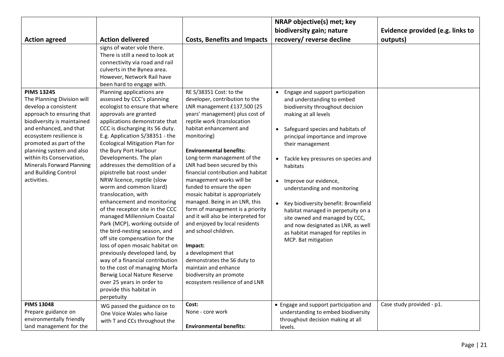|                                                                                                                                                                                                                                                                                                                                                       |                                                                                                                                                                                                                                                                                                                                                                                                                                                                                                                                                                                                                                                                                                                                                                                                                                                                                                                                                                                                                                                                                                    |                                                                                                                                                                                                                                                                                                                                                                                                                                                                                                                                                                                                                                                                                                                                                                      | NRAP objective(s) met; key                                                                                                                                                                                                                                                                                                                                                                                                                                                                                                                                                       |                                  |
|-------------------------------------------------------------------------------------------------------------------------------------------------------------------------------------------------------------------------------------------------------------------------------------------------------------------------------------------------------|----------------------------------------------------------------------------------------------------------------------------------------------------------------------------------------------------------------------------------------------------------------------------------------------------------------------------------------------------------------------------------------------------------------------------------------------------------------------------------------------------------------------------------------------------------------------------------------------------------------------------------------------------------------------------------------------------------------------------------------------------------------------------------------------------------------------------------------------------------------------------------------------------------------------------------------------------------------------------------------------------------------------------------------------------------------------------------------------------|----------------------------------------------------------------------------------------------------------------------------------------------------------------------------------------------------------------------------------------------------------------------------------------------------------------------------------------------------------------------------------------------------------------------------------------------------------------------------------------------------------------------------------------------------------------------------------------------------------------------------------------------------------------------------------------------------------------------------------------------------------------------|----------------------------------------------------------------------------------------------------------------------------------------------------------------------------------------------------------------------------------------------------------------------------------------------------------------------------------------------------------------------------------------------------------------------------------------------------------------------------------------------------------------------------------------------------------------------------------|----------------------------------|
|                                                                                                                                                                                                                                                                                                                                                       |                                                                                                                                                                                                                                                                                                                                                                                                                                                                                                                                                                                                                                                                                                                                                                                                                                                                                                                                                                                                                                                                                                    |                                                                                                                                                                                                                                                                                                                                                                                                                                                                                                                                                                                                                                                                                                                                                                      | biodiversity gain; nature                                                                                                                                                                                                                                                                                                                                                                                                                                                                                                                                                        | Evidence provided (e.g. links to |
| <b>Action agreed</b>                                                                                                                                                                                                                                                                                                                                  | <b>Action delivered</b>                                                                                                                                                                                                                                                                                                                                                                                                                                                                                                                                                                                                                                                                                                                                                                                                                                                                                                                                                                                                                                                                            | <b>Costs, Benefits and Impacts</b>                                                                                                                                                                                                                                                                                                                                                                                                                                                                                                                                                                                                                                                                                                                                   | recovery/ reverse decline                                                                                                                                                                                                                                                                                                                                                                                                                                                                                                                                                        | outputs)                         |
| <b>PIMS 13245</b><br>The Planning Division will<br>develop a consistent<br>approach to ensuring that<br>biodiversity is maintained<br>and enhanced, and that<br>ecosystem resilience is<br>promoted as part of the<br>planning system and also<br>within its Conservation,<br><b>Minerals Forward Planning</b><br>and Building Control<br>activities. | signs of water vole there.<br>There is still a need to look at<br>connectivity via road and rail<br>culverts in the Bynea area.<br>However, Network Rail have<br>been hard to engage with.<br>Planning applications are<br>assessed by CCC's planning<br>ecologist to ensure that where<br>approvals are granted<br>applications demonstrate that<br>CCC is discharging its S6 duty.<br>E.g. Application S/38351 - the<br><b>Ecological Mitigation Plan for</b><br>the Bury Port Harbour<br>Developments. The plan<br>addresses the demolition of a<br>pipistrelle bat roost under<br>NRW licence, reptile (slow<br>worm and common lizard)<br>translocation, with<br>enhancement and monitoring<br>of the receptor site in the CCC<br>managed Millennium Coastal<br>Park (MCP), working outside of<br>the bird-nesting season, and<br>off site compensation for the<br>loss of open mosaic habitat on<br>previously developed land, by<br>way of a financial contribution<br>to the cost of managing Morfa<br>Berwig Local Nature Reserve<br>over 25 years in order to<br>provide this habitat in | RE S/38351 Cost: to the<br>developer, contribution to the<br>LNR management £137,500 (25<br>years' management) plus cost of<br>reptile work (translocation<br>habitat enhancement and<br>monitoring)<br><b>Environmental benefits:</b><br>Long-term management of the<br>LNR had been secured by this<br>financial contribution and habitat<br>management works will be<br>funded to ensure the open<br>mosaic habitat is appropriately<br>managed. Being in an LNR, this<br>form of management is a priority<br>and it will also be interpreted for<br>and enjoyed by local residents<br>and school children.<br>Impact:<br>a development that<br>demonstrates the S6 duty to<br>maintain and enhance<br>biodiversity an promote<br>ecosystem resilience of and LNR | Engage and support participation<br>and understanding to embed<br>biodiversity throughout decision<br>making at all levels<br>Safeguard species and habitats of<br>principal importance and improve<br>their management<br>Tackle key pressures on species and<br>habitats<br>Improve our evidence,<br>$\bullet$<br>understanding and monitoring<br>Key biodiversity benefit: Brownfield<br>$\bullet$<br>habitat managed in perpetuity on a<br>site owned and managed by CCC,<br>and now designated as LNR, as well<br>as habitat managed for reptiles in<br>MCP. Bat mitigation |                                  |
|                                                                                                                                                                                                                                                                                                                                                       | perpetuity                                                                                                                                                                                                                                                                                                                                                                                                                                                                                                                                                                                                                                                                                                                                                                                                                                                                                                                                                                                                                                                                                         |                                                                                                                                                                                                                                                                                                                                                                                                                                                                                                                                                                                                                                                                                                                                                                      |                                                                                                                                                                                                                                                                                                                                                                                                                                                                                                                                                                                  |                                  |
| <b>PIMS 13048</b><br>Prepare guidance on                                                                                                                                                                                                                                                                                                              | WG passed the guidance on to                                                                                                                                                                                                                                                                                                                                                                                                                                                                                                                                                                                                                                                                                                                                                                                                                                                                                                                                                                                                                                                                       | Cost:<br>None - core work                                                                                                                                                                                                                                                                                                                                                                                                                                                                                                                                                                                                                                                                                                                                            | • Engage and support participation and<br>understanding to embed biodiversity                                                                                                                                                                                                                                                                                                                                                                                                                                                                                                    | Case study provided - p1.        |
| environmentally friendly                                                                                                                                                                                                                                                                                                                              | One Voice Wales who liaise                                                                                                                                                                                                                                                                                                                                                                                                                                                                                                                                                                                                                                                                                                                                                                                                                                                                                                                                                                                                                                                                         |                                                                                                                                                                                                                                                                                                                                                                                                                                                                                                                                                                                                                                                                                                                                                                      | throughout decision making at all                                                                                                                                                                                                                                                                                                                                                                                                                                                                                                                                                |                                  |
| land management for the                                                                                                                                                                                                                                                                                                                               | with T and CCs throughout the                                                                                                                                                                                                                                                                                                                                                                                                                                                                                                                                                                                                                                                                                                                                                                                                                                                                                                                                                                                                                                                                      | <b>Environmental benefits:</b>                                                                                                                                                                                                                                                                                                                                                                                                                                                                                                                                                                                                                                                                                                                                       | levels.                                                                                                                                                                                                                                                                                                                                                                                                                                                                                                                                                                          |                                  |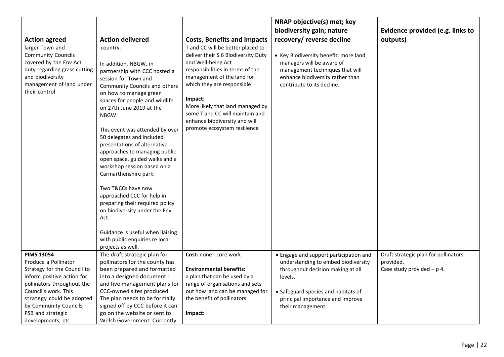|                                                   |                                                               |                                                                | NRAP objective(s) met; key                                     |                                      |
|---------------------------------------------------|---------------------------------------------------------------|----------------------------------------------------------------|----------------------------------------------------------------|--------------------------------------|
|                                                   |                                                               |                                                                | biodiversity gain; nature                                      | Evidence provided (e.g. links to     |
| <b>Action agreed</b>                              | <b>Action delivered</b>                                       | <b>Costs, Benefits and Impacts</b>                             | recovery/ reverse decline                                      | outputs)                             |
| larger Town and                                   | country.                                                      | T and CC will be better placed to                              |                                                                |                                      |
| <b>Community Councils</b>                         |                                                               | deliver their S.6 Biodiversity Duty                            | • Key Biodiversity benefit: more land                          |                                      |
| covered by the Env Act                            | In addition, NBGW, in                                         | and Well-being Act                                             | managers will be aware of                                      |                                      |
| duty regarding grass cutting<br>and biodiversity  | partnership with CCC hosted a                                 | responsibilities in terms of the<br>management of the land for | management techniques that will                                |                                      |
| management of land under                          | session for Town and                                          | which they are responsible                                     | enhance biodiversity rather than<br>contribute to its decline. |                                      |
| their control                                     | Community Councils and others<br>on how to manage green       |                                                                |                                                                |                                      |
|                                                   | spaces for people and wildlife                                | Impact:                                                        |                                                                |                                      |
|                                                   | on 27th June 2019 at the                                      | More likely that land managed by                               |                                                                |                                      |
|                                                   | NBGW.                                                         | some T and CC will maintain and                                |                                                                |                                      |
|                                                   |                                                               | enhance biodiversity and will                                  |                                                                |                                      |
|                                                   | This event was attended by over                               | promote ecosystem resilience                                   |                                                                |                                      |
|                                                   | 50 delegates and included                                     |                                                                |                                                                |                                      |
|                                                   | presentations of alternative                                  |                                                                |                                                                |                                      |
|                                                   | approaches to managing public                                 |                                                                |                                                                |                                      |
|                                                   | open space, guided walks and a<br>workshop session based on a |                                                                |                                                                |                                      |
|                                                   | Carmarthenshire park.                                         |                                                                |                                                                |                                      |
|                                                   |                                                               |                                                                |                                                                |                                      |
|                                                   | Two T&CCs have now                                            |                                                                |                                                                |                                      |
|                                                   | approached CCC for help in                                    |                                                                |                                                                |                                      |
|                                                   | preparing their required policy                               |                                                                |                                                                |                                      |
|                                                   | on biodiversity under the Env                                 |                                                                |                                                                |                                      |
|                                                   | Act.                                                          |                                                                |                                                                |                                      |
|                                                   | Guidance is useful when liaising                              |                                                                |                                                                |                                      |
|                                                   | with public enquiries re local                                |                                                                |                                                                |                                      |
|                                                   | projects as well.                                             |                                                                |                                                                |                                      |
| <b>PIMS 13054</b>                                 | The draft strategic plan for                                  | Cost: none - core work                                         | • Engage and support participation and                         | Draft strategic plan for pollinators |
| Produce a Pollinator                              | pollinators for the county has                                |                                                                | understanding to embed biodiversity                            | provided.                            |
| Strategy for the Council to                       | been prepared and formatted                                   | <b>Environmental benefits:</b>                                 | throughout decision making at all                              | Case study provided $- p 4$ .        |
| inform positive action for                        | into a designed document -                                    | a plan that can be used by a                                   | levels.                                                        |                                      |
| pollinators throughout the                        | and five management plans for                                 | range of organisations and sets                                |                                                                |                                      |
| Council's work. This<br>strategy could be adopted | CCC-owned sites produced.<br>The plan needs to be formally    | out how land can be managed for<br>the benefit of pollinators. | • Safeguard species and habitats of                            |                                      |
| by Community Councils,                            | signed off by CCC before it can                               |                                                                | principal importance and improve<br>their management           |                                      |
| PSB and strategic                                 | go on the website or sent to                                  | Impact:                                                        |                                                                |                                      |
| developments, etc.                                | <b>Welsh Government. Currently</b>                            |                                                                |                                                                |                                      |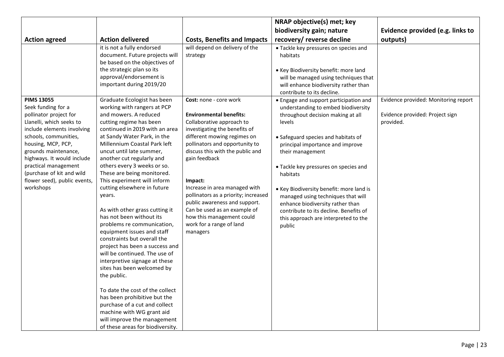|                                                                                                                                                                                                                                                                                                               |                                                                                                                                                                                                                                                                                                                                                                                                                                                                                                                                                                                                                                                                                                                                                                                                                                                                                              |                                                                                                                                                                                                                                                                                                                                                                                                                                              | NRAP objective(s) met; key                                                                                                                                                                                                                                                                                                                                                                                                                               |                                              |
|---------------------------------------------------------------------------------------------------------------------------------------------------------------------------------------------------------------------------------------------------------------------------------------------------------------|----------------------------------------------------------------------------------------------------------------------------------------------------------------------------------------------------------------------------------------------------------------------------------------------------------------------------------------------------------------------------------------------------------------------------------------------------------------------------------------------------------------------------------------------------------------------------------------------------------------------------------------------------------------------------------------------------------------------------------------------------------------------------------------------------------------------------------------------------------------------------------------------|----------------------------------------------------------------------------------------------------------------------------------------------------------------------------------------------------------------------------------------------------------------------------------------------------------------------------------------------------------------------------------------------------------------------------------------------|----------------------------------------------------------------------------------------------------------------------------------------------------------------------------------------------------------------------------------------------------------------------------------------------------------------------------------------------------------------------------------------------------------------------------------------------------------|----------------------------------------------|
|                                                                                                                                                                                                                                                                                                               |                                                                                                                                                                                                                                                                                                                                                                                                                                                                                                                                                                                                                                                                                                                                                                                                                                                                                              |                                                                                                                                                                                                                                                                                                                                                                                                                                              | biodiversity gain; nature                                                                                                                                                                                                                                                                                                                                                                                                                                | Evidence provided (e.g. links to             |
| <b>Action agreed</b>                                                                                                                                                                                                                                                                                          | <b>Action delivered</b>                                                                                                                                                                                                                                                                                                                                                                                                                                                                                                                                                                                                                                                                                                                                                                                                                                                                      | <b>Costs, Benefits and Impacts</b>                                                                                                                                                                                                                                                                                                                                                                                                           | recovery/ reverse decline                                                                                                                                                                                                                                                                                                                                                                                                                                | outputs)                                     |
| <b>PIMS 13055</b>                                                                                                                                                                                                                                                                                             | it is not a fully endorsed<br>document. Future projects will<br>be based on the objectives of<br>the strategic plan so its<br>approval/endorsement is<br>important during 2019/20<br>Graduate Ecologist has been                                                                                                                                                                                                                                                                                                                                                                                                                                                                                                                                                                                                                                                                             | will depend on delivery of the<br>strategy<br>Cost: none - core work                                                                                                                                                                                                                                                                                                                                                                         | • Tackle key pressures on species and<br>habitats<br>. Key Biodiversity benefit: more land<br>will be managed using techniques that<br>will enhance biodiversity rather than<br>contribute to its decline.<br>• Engage and support participation and                                                                                                                                                                                                     | Evidence provided: Monitoring report         |
| Seek funding for a<br>pollinator project for<br>Llanelli, which seeks to<br>include elements involving<br>schools, communities,<br>housing, MCP, PCP,<br>grounds maintenance,<br>highways. It would include<br>practical management<br>(purchase of kit and wild<br>flower seed), public events,<br>workshops | working with rangers at PCP<br>and mowers. A reduced<br>cutting regime has been<br>continued in 2019 with an area<br>at Sandy Water Park, in the<br>Millennium Coastal Park left<br>uncut until late summer,<br>another cut regularly and<br>others every 3 weeks or so.<br>These are being monitored.<br>This experiment will inform<br>cutting elsewhere in future<br>years.<br>As with other grass cutting it<br>has not been without its<br>problems re communication,<br>equipment issues and staff<br>constraints but overall the<br>project has been a success and<br>will be continued. The use of<br>interpretive signage at these<br>sites has been welcomed by<br>the public.<br>To date the cost of the collect<br>has been prohibitive but the<br>purchase of a cut and collect<br>machine with WG grant aid<br>will improve the management<br>of these areas for biodiversity. | <b>Environmental benefits:</b><br>Collaborative approach to<br>investigating the benefits of<br>different mowing regimes on<br>pollinators and opportunity to<br>discuss this with the public and<br>gain feedback<br>Impact:<br>Increase in area managed with<br>pollinators as a priority; increased<br>public awareness and support.<br>Can be used as an example of<br>how this management could<br>work for a range of land<br>managers | understanding to embed biodiversity<br>throughout decision making at all<br>levels<br>• Safeguard species and habitats of<br>principal importance and improve<br>their management<br>• Tackle key pressures on species and<br>habitats<br>• Key Biodiversity benefit: more land is<br>managed using techniques that will<br>enhance biodiversity rather than<br>contribute to its decline. Benefits of<br>this approach are interpreted to the<br>public | Evidence provided: Project sign<br>provided. |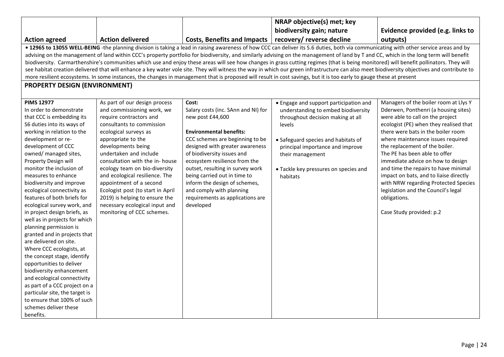|                                                                                                                                                                     |                                                           |                                                                  | NRAP objective(s) met; key                                                                                                                                                                  |                                                                                |
|---------------------------------------------------------------------------------------------------------------------------------------------------------------------|-----------------------------------------------------------|------------------------------------------------------------------|---------------------------------------------------------------------------------------------------------------------------------------------------------------------------------------------|--------------------------------------------------------------------------------|
|                                                                                                                                                                     |                                                           |                                                                  | biodiversity gain; nature                                                                                                                                                                   | Evidence provided (e.g. links to                                               |
| <b>Action agreed</b>                                                                                                                                                | <b>Action delivered</b>                                   | <b>Costs, Benefits and Impacts</b>                               | recovery/ reverse decline                                                                                                                                                                   | outputs)                                                                       |
|                                                                                                                                                                     |                                                           |                                                                  | . 12965 to 13055 WELL-BEING -the planning division is taking a lead in raising awareness of how CCC can deliver its S.6 duties, both via communicating with other service areas and by      |                                                                                |
|                                                                                                                                                                     |                                                           |                                                                  | advising on the management of land within CCC's property portfolio for biodiversity, and similarly advising on the management of land by T and CC, which in the long term will benefit      |                                                                                |
|                                                                                                                                                                     |                                                           |                                                                  | biodiversity. Carmarthenshire's communities which use and enjoy these areas will see how changes in grass cutting regimes (that is being monitored) will benefit pollinators. They will     |                                                                                |
|                                                                                                                                                                     |                                                           |                                                                  | see habitat creation delivered that will enhance a key water vole site. They will witness the way in which our green infrastructure can also meet biodiversity objectives and contribute to |                                                                                |
| more resilient ecosystems. In some instances, the changes in management that is proposed will result in cost savings, but it is too early to gauge these at present |                                                           |                                                                  |                                                                                                                                                                                             |                                                                                |
| <b>PROPERTY DESIGN (ENVIRONMENT)</b>                                                                                                                                |                                                           |                                                                  |                                                                                                                                                                                             |                                                                                |
|                                                                                                                                                                     |                                                           |                                                                  |                                                                                                                                                                                             |                                                                                |
| <b>PIMS 12977</b>                                                                                                                                                   | As part of our design process                             | Cost:                                                            | • Engage and support participation and                                                                                                                                                      | Managers of the boiler room at Llys Y                                          |
| In order to demonstrate                                                                                                                                             | and commissioning work, we                                | Salary costs (inc. SAnn and NI) for                              | understanding to embed biodiversity                                                                                                                                                         | Dderwen, Ponthenri (a housing sites)                                           |
| that CCC is embedding its                                                                                                                                           | require contractors and                                   | new post £44,600                                                 | throughout decision making at all                                                                                                                                                           | were able to call on the project                                               |
| S6 duties into its ways of                                                                                                                                          | consultants to commission                                 |                                                                  | levels                                                                                                                                                                                      | ecologist (PE) when they realised that                                         |
| working in relation to the                                                                                                                                          | ecological surveys as                                     | <b>Environmental benefits:</b>                                   |                                                                                                                                                                                             | there were bats in the boiler room                                             |
| development or re-                                                                                                                                                  | appropriate to the                                        | CCC schemes are beginning to be                                  | • Safeguard species and habitats of                                                                                                                                                         | where maintenance issues required                                              |
| development of CCC                                                                                                                                                  | developments being                                        | designed with greater awareness                                  | principal importance and improve                                                                                                                                                            | the replacement of the boiler.                                                 |
| owned/ managed sites,                                                                                                                                               | undertaken and include                                    | of biodiversity issues and                                       | their management                                                                                                                                                                            | The PE has been able to offer                                                  |
| Property Design will                                                                                                                                                | consultation with the in-house                            | ecosystem resilience from the                                    |                                                                                                                                                                                             | immediate advice on how to design                                              |
| monitor the inclusion of                                                                                                                                            | ecology team on bio-diversity                             | outset, resulting in survey work<br>being carried out in time to | · Tackle key pressures on species and                                                                                                                                                       | and time the repairs to have minimal<br>impact on bats, and to liaise directly |
| measures to enhance<br>biodiversity and improve                                                                                                                     | and ecological resilience. The<br>appointment of a second | inform the design of schemes,                                    | habitats                                                                                                                                                                                    | with NRW regarding Protected Species                                           |
| ecological connectivity as                                                                                                                                          | Ecologist post (to start in April                         | and comply with planning                                         |                                                                                                                                                                                             | legislation and the Council's legal                                            |
| features of both briefs for                                                                                                                                         | 2019) is helping to ensure the                            | requirements as applications are                                 |                                                                                                                                                                                             | obligations.                                                                   |
| ecological survey work, and                                                                                                                                         | necessary ecological input and                            | developed                                                        |                                                                                                                                                                                             |                                                                                |
| in project design briefs, as                                                                                                                                        | monitoring of CCC schemes.                                |                                                                  |                                                                                                                                                                                             | Case Study provided: p.2                                                       |
| well as in projects for which                                                                                                                                       |                                                           |                                                                  |                                                                                                                                                                                             |                                                                                |
| planning permission is                                                                                                                                              |                                                           |                                                                  |                                                                                                                                                                                             |                                                                                |
| granted and in projects that                                                                                                                                        |                                                           |                                                                  |                                                                                                                                                                                             |                                                                                |
| are delivered on site.                                                                                                                                              |                                                           |                                                                  |                                                                                                                                                                                             |                                                                                |
| Where CCC ecologists, at                                                                                                                                            |                                                           |                                                                  |                                                                                                                                                                                             |                                                                                |
| the concept stage, identify                                                                                                                                         |                                                           |                                                                  |                                                                                                                                                                                             |                                                                                |
| opportunities to deliver                                                                                                                                            |                                                           |                                                                  |                                                                                                                                                                                             |                                                                                |
| biodiversity enhancement                                                                                                                                            |                                                           |                                                                  |                                                                                                                                                                                             |                                                                                |
| and ecological connectivity                                                                                                                                         |                                                           |                                                                  |                                                                                                                                                                                             |                                                                                |
| as part of a CCC project on a                                                                                                                                       |                                                           |                                                                  |                                                                                                                                                                                             |                                                                                |
| particular site, the target is                                                                                                                                      |                                                           |                                                                  |                                                                                                                                                                                             |                                                                                |
| to ensure that 100% of such                                                                                                                                         |                                                           |                                                                  |                                                                                                                                                                                             |                                                                                |
| schemes deliver these                                                                                                                                               |                                                           |                                                                  |                                                                                                                                                                                             |                                                                                |
| benefits.                                                                                                                                                           |                                                           |                                                                  |                                                                                                                                                                                             |                                                                                |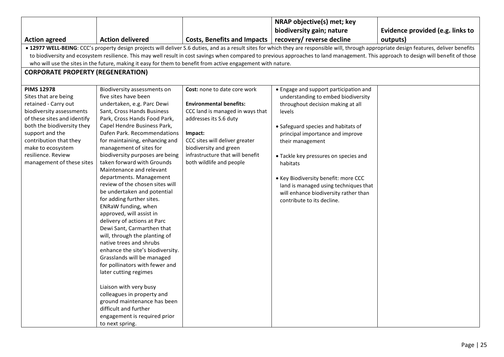|                                                                                                                                                                                              |                                  |                                    | NRAP objective(s) met; key             |                                  |  |  |  |  |
|----------------------------------------------------------------------------------------------------------------------------------------------------------------------------------------------|----------------------------------|------------------------------------|----------------------------------------|----------------------------------|--|--|--|--|
|                                                                                                                                                                                              |                                  |                                    | biodiversity gain; nature              | Evidence provided (e.g. links to |  |  |  |  |
| <b>Action agreed</b>                                                                                                                                                                         | <b>Action delivered</b>          | <b>Costs, Benefits and Impacts</b> | recovery/ reverse decline              | outputs)                         |  |  |  |  |
| . 12977 WELL-BEING: CCC's property design projects will deliver S.6 duties, and as a result sites for which they are responsible will, through appropriate design features, deliver benefits |                                  |                                    |                                        |                                  |  |  |  |  |
| to biodiversity and ecosystem resilience. This may well result in cost savings when compared to previous approaches to land management. This approach to design will benefit of those        |                                  |                                    |                                        |                                  |  |  |  |  |
| who will use the sites in the future, making it easy for them to benefit from active engagement with nature.                                                                                 |                                  |                                    |                                        |                                  |  |  |  |  |
| <b>CORPORATE PROPERTY (REGENERATION)</b>                                                                                                                                                     |                                  |                                    |                                        |                                  |  |  |  |  |
|                                                                                                                                                                                              |                                  |                                    |                                        |                                  |  |  |  |  |
| <b>PIMS 12978</b>                                                                                                                                                                            | Biodiversity assessments on      | Cost: none to date core work       | • Engage and support participation and |                                  |  |  |  |  |
| Sites that are being                                                                                                                                                                         | five sites have been             |                                    | understanding to embed biodiversity    |                                  |  |  |  |  |
| retained - Carry out                                                                                                                                                                         | undertaken, e.g. Parc Dewi       | <b>Environmental benefits:</b>     | throughout decision making at all      |                                  |  |  |  |  |
| biodiversity assessments                                                                                                                                                                     | Sant, Cross Hands Business       | CCC land is managed in ways that   | levels                                 |                                  |  |  |  |  |
| of these sites and identify                                                                                                                                                                  | Park, Cross Hands Food Park,     | addresses its S.6 duty             |                                        |                                  |  |  |  |  |
| both the biodiversity they                                                                                                                                                                   | Capel Hendre Business Park,      |                                    | • Safeguard species and habitats of    |                                  |  |  |  |  |
| support and the                                                                                                                                                                              | Dafen Park. Recommendations      | Impact:                            | principal importance and improve       |                                  |  |  |  |  |
| contribution that they                                                                                                                                                                       | for maintaining, enhancing and   | CCC sites will deliver greater     | their management                       |                                  |  |  |  |  |
| make to ecosystem                                                                                                                                                                            | management of sites for          | biodiversity and green             |                                        |                                  |  |  |  |  |
| resilience. Review                                                                                                                                                                           | biodiversity purposes are being  | infrastructure that will benefit   | • Tackle key pressures on species and  |                                  |  |  |  |  |
| management of these sites                                                                                                                                                                    | taken forward with Grounds       | both wildlife and people           | habitats                               |                                  |  |  |  |  |
|                                                                                                                                                                                              | Maintenance and relevant         |                                    |                                        |                                  |  |  |  |  |
|                                                                                                                                                                                              | departments. Management          |                                    | . Key Biodiversity benefit: more CCC   |                                  |  |  |  |  |
|                                                                                                                                                                                              | review of the chosen sites will  |                                    | land is managed using techniques that  |                                  |  |  |  |  |
|                                                                                                                                                                                              | be undertaken and potential      |                                    | will enhance biodiversity rather than  |                                  |  |  |  |  |
|                                                                                                                                                                                              | for adding further sites.        |                                    | contribute to its decline.             |                                  |  |  |  |  |
|                                                                                                                                                                                              | ENRaW funding, when              |                                    |                                        |                                  |  |  |  |  |
|                                                                                                                                                                                              | approved, will assist in         |                                    |                                        |                                  |  |  |  |  |
|                                                                                                                                                                                              | delivery of actions at Parc      |                                    |                                        |                                  |  |  |  |  |
|                                                                                                                                                                                              | Dewi Sant, Carmarthen that       |                                    |                                        |                                  |  |  |  |  |
|                                                                                                                                                                                              | will, through the planting of    |                                    |                                        |                                  |  |  |  |  |
|                                                                                                                                                                                              | native trees and shrubs          |                                    |                                        |                                  |  |  |  |  |
|                                                                                                                                                                                              | enhance the site's biodiversity. |                                    |                                        |                                  |  |  |  |  |
|                                                                                                                                                                                              | Grasslands will be managed       |                                    |                                        |                                  |  |  |  |  |
|                                                                                                                                                                                              | for pollinators with fewer and   |                                    |                                        |                                  |  |  |  |  |
|                                                                                                                                                                                              | later cutting regimes            |                                    |                                        |                                  |  |  |  |  |
|                                                                                                                                                                                              |                                  |                                    |                                        |                                  |  |  |  |  |
|                                                                                                                                                                                              | Liaison with very busy           |                                    |                                        |                                  |  |  |  |  |
|                                                                                                                                                                                              | colleagues in property and       |                                    |                                        |                                  |  |  |  |  |
|                                                                                                                                                                                              | ground maintenance has been      |                                    |                                        |                                  |  |  |  |  |
|                                                                                                                                                                                              | difficult and further            |                                    |                                        |                                  |  |  |  |  |
|                                                                                                                                                                                              | engagement is required prior     |                                    |                                        |                                  |  |  |  |  |
|                                                                                                                                                                                              | to next spring.                  |                                    |                                        |                                  |  |  |  |  |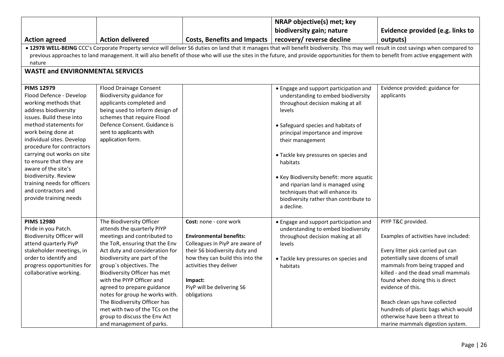|                                                                                                                                                                                                                                                                                                                                                                                                                           |                                                                                                                                                                                                                                                                                                                                                                                                                                                                                 |                                                                                                                                                                                                                                                      | NRAP objective(s) met; key                                                                                                                                                                                                                                                                                                                                                                                                                                     |                                                                                                                                                                                                                                                                                                                                                                                                                        |  |  |  |  |
|---------------------------------------------------------------------------------------------------------------------------------------------------------------------------------------------------------------------------------------------------------------------------------------------------------------------------------------------------------------------------------------------------------------------------|---------------------------------------------------------------------------------------------------------------------------------------------------------------------------------------------------------------------------------------------------------------------------------------------------------------------------------------------------------------------------------------------------------------------------------------------------------------------------------|------------------------------------------------------------------------------------------------------------------------------------------------------------------------------------------------------------------------------------------------------|----------------------------------------------------------------------------------------------------------------------------------------------------------------------------------------------------------------------------------------------------------------------------------------------------------------------------------------------------------------------------------------------------------------------------------------------------------------|------------------------------------------------------------------------------------------------------------------------------------------------------------------------------------------------------------------------------------------------------------------------------------------------------------------------------------------------------------------------------------------------------------------------|--|--|--|--|
|                                                                                                                                                                                                                                                                                                                                                                                                                           |                                                                                                                                                                                                                                                                                                                                                                                                                                                                                 |                                                                                                                                                                                                                                                      | biodiversity gain; nature                                                                                                                                                                                                                                                                                                                                                                                                                                      | Evidence provided (e.g. links to                                                                                                                                                                                                                                                                                                                                                                                       |  |  |  |  |
| <b>Action agreed</b>                                                                                                                                                                                                                                                                                                                                                                                                      | <b>Action delivered</b>                                                                                                                                                                                                                                                                                                                                                                                                                                                         | <b>Costs, Benefits and Impacts</b>                                                                                                                                                                                                                   | recovery/ reverse decline                                                                                                                                                                                                                                                                                                                                                                                                                                      | outputs)                                                                                                                                                                                                                                                                                                                                                                                                               |  |  |  |  |
| . 12978 WELL-BEING CCC's Corporate Property service will deliver S6 duties on land that it manages that will benefit biodiversity. This may well result in cost savings when compared to<br>previous approaches to land management. It will also benefit of those who will use the sites in the future, and provide opportunities for them to benefit from active engagement with<br>nature                               |                                                                                                                                                                                                                                                                                                                                                                                                                                                                                 |                                                                                                                                                                                                                                                      |                                                                                                                                                                                                                                                                                                                                                                                                                                                                |                                                                                                                                                                                                                                                                                                                                                                                                                        |  |  |  |  |
| <b>WASTE and ENVIRONMENTAL SERVICES</b>                                                                                                                                                                                                                                                                                                                                                                                   |                                                                                                                                                                                                                                                                                                                                                                                                                                                                                 |                                                                                                                                                                                                                                                      |                                                                                                                                                                                                                                                                                                                                                                                                                                                                |                                                                                                                                                                                                                                                                                                                                                                                                                        |  |  |  |  |
| <b>PIMS 12979</b><br>Flood Defence - Develop<br>working methods that<br>address biodiversity<br>issues. Build these into<br>method statements for<br>work being done at<br>individual sites. Develop<br>procedure for contractors<br>carrying out works on site<br>to ensure that they are<br>aware of the site's<br>biodiversity. Review<br>training needs for officers<br>and contractors and<br>provide training needs | <b>Flood Drainage Consent</b><br>Biodiversity guidance for<br>applicants completed and<br>being used to inform design of<br>schemes that require Flood<br>Defence Consent. Guidance is<br>sent to applicants with<br>application form.                                                                                                                                                                                                                                          |                                                                                                                                                                                                                                                      | • Engage and support participation and<br>understanding to embed biodiversity<br>throughout decision making at all<br>levels<br>• Safeguard species and habitats of<br>principal importance and improve<br>their management<br>• Tackle key pressures on species and<br>habitats<br>• Key Biodiversity benefit: more aquatic<br>and riparian land is managed using<br>techniques that will enhance its<br>biodiversity rather than contribute to<br>a decline. | Evidence provided: guidance for<br>applicants                                                                                                                                                                                                                                                                                                                                                                          |  |  |  |  |
| <b>PIMS 12980</b><br>Pride in you Patch.<br><b>Biodiversity Officer will</b><br>attend quarterly PiyP<br>stakeholder meetings, in<br>order to identify and<br>progress opportunities for<br>collaborative working.                                                                                                                                                                                                        | The Biodiversity Officer<br>attends the quarterly PIYP<br>meetings and contributed to<br>the ToR, ensuring that the Env<br>Act duty and consideration for<br>biodiversity are part of the<br>group's objectives. The<br>Biodiversity Officer has met<br>with the PIYP Officer and<br>agreed to prepare guidance<br>notes for group he works with.<br>The Biodiversity Officer has<br>met with two of the TCs on the<br>group to discuss the Env Act<br>and management of parks. | Cost: none - core work<br><b>Environmental benefits:</b><br>Colleagues in PiyP are aware of<br>their S6 biodiversity duty and<br>how they can build this into the<br>activities they deliver<br>Impact:<br>PiyP will be delivering S6<br>obligations | • Engage and support participation and<br>understanding to embed biodiversity<br>throughout decision making at all<br>levels<br>• Tackle key pressures on species and<br>habitats                                                                                                                                                                                                                                                                              | PIYP T&C provided.<br>Examples of activities have included:<br>Every litter pick carried put can<br>potentially save dozens of small<br>mammals from being trapped and<br>killed - and the dead small mammals<br>found when doing this is direct<br>evidence of this.<br>Beach clean ups have collected<br>hundreds of plastic bags which would<br>otherwise have been a threat to<br>marine mammals digestion system. |  |  |  |  |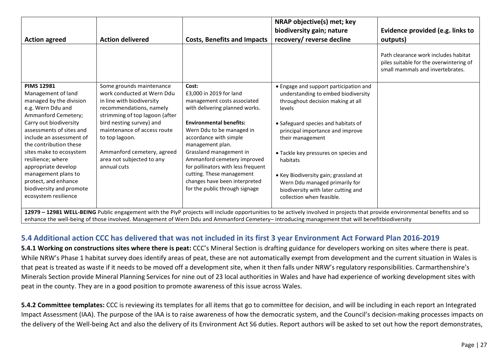|                                                                                                                                                                             |                                                        |                                                            | NRAP objective(s) met; key                                                    |                                                                                                                     |  |  |
|-----------------------------------------------------------------------------------------------------------------------------------------------------------------------------|--------------------------------------------------------|------------------------------------------------------------|-------------------------------------------------------------------------------|---------------------------------------------------------------------------------------------------------------------|--|--|
|                                                                                                                                                                             |                                                        |                                                            | biodiversity gain; nature                                                     | Evidence provided (e.g. links to                                                                                    |  |  |
| <b>Action agreed</b>                                                                                                                                                        | <b>Action delivered</b>                                | <b>Costs, Benefits and Impacts</b>                         | recovery/ reverse decline                                                     | outputs)                                                                                                            |  |  |
|                                                                                                                                                                             |                                                        |                                                            |                                                                               | Path clearance work includes habitat<br>piles suitable for the overwintering of<br>small mammals and invertebrates. |  |  |
| <b>PIMS 12981</b><br>Management of land                                                                                                                                     | Some grounds maintenance<br>work conducted at Wern Ddu | Cost:<br>£3,000 in 2019 for land                           | • Engage and support participation and<br>understanding to embed biodiversity |                                                                                                                     |  |  |
| managed by the division                                                                                                                                                     | in line with biodiversity                              | management costs associated                                | throughout decision making at all                                             |                                                                                                                     |  |  |
| e.g. Wern Ddu and                                                                                                                                                           | recommendations, namely                                | with delivering planned works.                             | levels                                                                        |                                                                                                                     |  |  |
| Ammanford Cemetery;                                                                                                                                                         | strimming of top lagoon (after                         |                                                            |                                                                               |                                                                                                                     |  |  |
| Carry out biodiversity                                                                                                                                                      | bird nesting survey) and                               | <b>Environmental benefits:</b>                             | • Safeguard species and habitats of                                           |                                                                                                                     |  |  |
| assessments of sites and                                                                                                                                                    | maintenance of access route                            | Wern Ddu to be managed in                                  | principal importance and improve                                              |                                                                                                                     |  |  |
| include an assessment of<br>the contribution these                                                                                                                          | to top lagoon.                                         | accordance with simple<br>management plan.                 | their management                                                              |                                                                                                                     |  |  |
| sites make to ecosystem                                                                                                                                                     | Ammanford cemetery, agreed                             | Grassland management in                                    | • Tackle key pressures on species and                                         |                                                                                                                     |  |  |
| resilience; where                                                                                                                                                           | area not subjected to any                              | Ammanford cemetery improved                                | habitats                                                                      |                                                                                                                     |  |  |
| appropriate develop                                                                                                                                                         | annual cuts                                            | for pollinators with less frequent                         |                                                                               |                                                                                                                     |  |  |
| management plans to<br>protect, and enhance                                                                                                                                 |                                                        | cutting. These management<br>changes have been interpreted | • Key Biodiversity gain; grassland at                                         |                                                                                                                     |  |  |
| biodiversity and promote                                                                                                                                                    |                                                        | for the public through signage                             | Wern Ddu managed primarily for                                                |                                                                                                                     |  |  |
| ecosystem resilience                                                                                                                                                        |                                                        |                                                            | biodiversity with later cutting and<br>collection when feasible.              |                                                                                                                     |  |  |
|                                                                                                                                                                             |                                                        |                                                            |                                                                               |                                                                                                                     |  |  |
| 12979 - 12981 WELL-BEING Public engagement with the PiyP projects will include opportunities to be actively involved in projects that provide environmental benefits and so |                                                        |                                                            |                                                                               |                                                                                                                     |  |  |
| enhance the well-being of those involved. Management of Wern Ddu and Ammanford Cemetery-introducing management that will benefitbiodiversity                                |                                                        |                                                            |                                                                               |                                                                                                                     |  |  |

### **5.4 Additional action CCC has delivered that was not included in its first 3 year Environment Act Forward Plan 2016-2019**

**5.4.1 Working on constructions sites where there is peat:** CCC's Mineral Section is drafting guidance for developers working on sites where there is peat. While NRW's Phase 1 habitat survey does identify areas of peat, these are not automatically exempt from development and the current situation in Wales is that peat is treated as waste if it needs to be moved off a development site, when it then falls under NRW's regulatory responsibilities. Carmarthenshire's Minerals Section provide Mineral Planning Services for nine out of 23 local authorities in Wales and have had experience of working development sites with peat in the county. They are in a good position to promote awareness of this issue across Wales.

**5.4.2 Committee templates:** CCC is reviewing its templates for all items that go to committee for decision, and will be including in each report an Integrated Impact Assessment (IAA). The purpose of the IAA is to raise awareness of how the democratic system, and the Council's decision-making processes impacts on the delivery of the Well-being Act and also the delivery of its Environment Act S6 duties. Report authors will be asked to set out how the report demonstrates,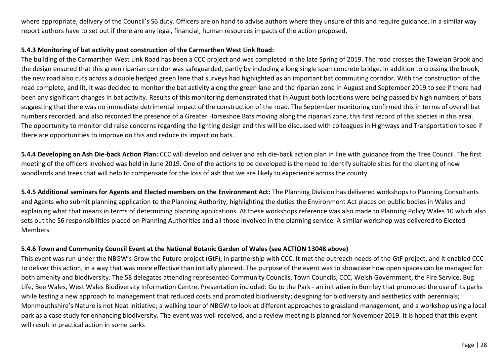where appropriate, delivery of the Council's S6 duty. Officers are on hand to advise authors where they unsure of this and require guidance. In a similar way report authors have to set out if there are any legal, financial, human resources impacts of the action proposed.

#### **5.4.3 Monitoring of bat activity post construction of the Carmarthen West Link Road:**

The building of the Carmarthen West Link Road has been a CCC project and was completed in the late Spring of 2019. The road crosses the Tawelan Brook and the design ensured that this green riparian corridor was safeguarded, partly by including a long single span concrete bridge. In addition to crossing the brook, the new road also cuts across a double hedged green lane that surveys had highlighted as an important bat commuting corridor. With the construction of the road complete, and lit, it was decided to monitor the bat activity along the green lane and the riparian zone in August and September 2019 to see if there had been any significant changes in bat activity. Results of this monitoring demonstrated that in August both locations were being passed by high numbers of bats suggesting that there was no immediate detrimental impact of the construction of the road. The September monitoring confirmed this in terms of overall bat numbers recorded, and also recorded the presence of a Greater Horseshoe Bats moving along the riparian zone, this first record of this species in this area. The opportunity to monitor did raise concerns regarding the lighting design and this will be discussed with colleagues in Highways and Transportation to see if there are opportunities to improve on this and reduce its impact on bats.

**5.4.4 Developing an Ash Die-back Action Plan:** CCC will develop and deliver and ash die-back action plan in line with guidance from the Tree Council. The first meeting of the officers involved was held in June 2019. One of the actions to be developed is the need to identify suitable sites for the planting of new woodlands and trees that will help to compensate for the loss of ash that we are likely to experience across the county.

**5.4.5 Additional seminars for Agents and Elected members on the Environment Act:** The Planning Division has delivered workshops to Planning Consultants and Agents who submit planning application to the Planning Authority, highlighting the duties the Environment Act places on public bodies in Wales and explaining what that means in terms of determining planning applications. At these workshops reference was also made to Planning Policy Wales 10 which also sets out the S6 responsibilities placed on Planning Authorities and all those involved in the planning service. A similar workshop was delivered to Elected Members

#### **5.4.6 Town and Community Council Event at the National Botanic Garden of Wales (see ACTION 13048 above)**

This event was run under the NBGW's Grow the Future project (GtF), in partnership with CCC. It met the outreach needs of the GtF project, and it enabled CCC to deliver this action, in a way that was more effective than initially planned. The purpose of the event was to showcase how open spaces can be managed for both amenity and biodiversity. The 58 delegates attending represented Community Councils, Town Councils, CCC, Welsh Government, the Fire Service, Bug Life, Bee Wales, West Wales Biodiversity Information Centre. Presentation included: Go to the Park - an initiative in Burnley that promoted the use of its parks while testing a new approach to management that reduced costs and promoted biodiversity; designing for biodiversity and aesthetics with perennials; Monmouthshire's Nature is not Neat initiative; a walking tour of NBGW to look at different approaches to grassland management, and a workshop using a local park as a case study for enhancing biodiversity. The event was well received, and a review meeting is planned for November 2019. It is hoped that this event will result in practical action in some parks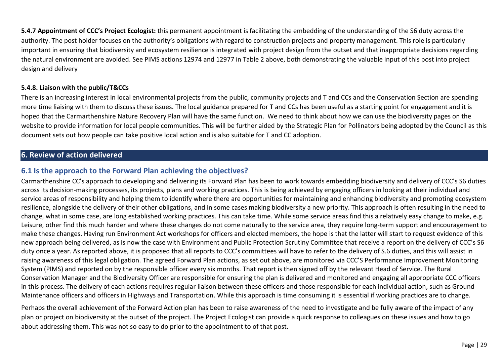**5.4.7 Appointment of CCC's Project Ecologist:** this permanent appointment is facilitating the embedding of the understanding of the S6 duty across the authority. The post holder focuses on the authority's obligations with regard to construction projects and property management. This role is particularly important in ensuring that biodiversity and ecosystem resilience is integrated with project design from the outset and that inappropriate decisions regarding the natural environment are avoided. See PIMS actions 12974 and 12977 in Table 2 above, both demonstrating the valuable input of this post into project design and delivery

#### **5.4.8. Liaison with the public/T&CCs**

There is an increasing interest in local environmental projects from the public, community projects and T and CCs and the Conservation Section are spending more time liaising with them to discuss these issues. The local guidance prepared for T and CCs has been useful as a starting point for engagement and it is hoped that the Carmarthenshire Nature Recovery Plan will have the same function. We need to think about how we can use the biodiversity pages on the website to provide information for local people communities. This will be further aided by the Strategic Plan for Pollinators being adopted by the Council as this document sets out how people can take positive local action and is also suitable for T and CC adoption.

# **6. Review of action delivered**

### **6.1 Is the approach to the Forward Plan achieving the objectives?**

Carmarthenshire CC's approach to developing and delivering its Forward Plan has been to work towards embedding biodiversity and delivery of CCC's S6 duties across its decision-making processes, its projects, plans and working practices. This is being achieved by engaging officers in looking at their individual and service areas of responsibility and helping them to identify where there are opportunities for maintaining and enhancing biodiversity and promoting ecosystem resilience, alongside the delivery of their other obligations, and in some cases making biodiversity a new priority. This approach is often resulting in the need to change, what in some case, are long established working practices. This can take time. While some service areas find this a relatively easy change to make, e.g. Leisure, other find this much harder and where these changes do not come naturally to the service area, they require long-term support and encouragement to make these changes. Having run Environment Act workshops for officers and elected members, the hope is that the latter will start to request evidence of this new approach being delivered, as is now the case with Environment and Public Protection Scrutiny Committee that receive a report on the delivery of CCC's S6 duty once a year. As reported above, it is proposed that all reports to CCC's committees will have to refer to the delivery of S.6 duties, and this will assist in raising awareness of this legal obligation. The agreed Forward Plan actions, as set out above, are monitored via CCC'S Performance Improvement Monitoring System (PIMS) and reported on by the responsible officer every six months. That report is then signed off by the relevant Head of Service. The Rural Conservation Manager and the Biodiversity Officer are responsible for ensuring the plan is delivered and monitored and engaging all appropriate CCC officers in this process. The delivery of each actions requires regular liaison between these officers and those responsible for each individual action, such as Ground Maintenance officers and officers in Highways and Transportation. While this approach is time consuming it is essential if working practices are to change.

Perhaps the overall achievement of the Forward Action plan has been to raise awareness of the need to investigate and be fully aware of the impact of any plan or project on biodiversity at the outset of the project. The Project Ecologist can provide a quick response to colleagues on these issues and how to go about addressing them. This was not so easy to do prior to the appointment to of that post.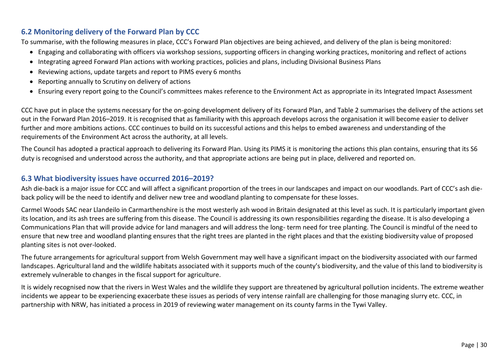## **6.2 Monitoring delivery of the Forward Plan by CCC**

To summarise, with the following measures in place, CCC's Forward Plan objectives are being achieved, and delivery of the plan is being monitored:

- Engaging and collaborating with officers via workshop sessions, supporting officers in changing working practices, monitoring and reflect of actions
- Integrating agreed Forward Plan actions with working practices, policies and plans, including Divisional Business Plans
- Reviewing actions, update targets and report to PIMS every 6 months
- Reporting annually to Scrutiny on delivery of actions
- Ensuring every report going to the Council's committees makes reference to the Environment Act as appropriate in its Integrated Impact Assessment

CCC have put in place the systems necessary for the on-going development delivery of its Forward Plan, and Table 2 summarises the delivery of the actions set out in the Forward Plan 2016–2019. It is recognised that as familiarity with this approach develops across the organisation it will become easier to deliver further and more ambitions actions. CCC continues to build on its successful actions and this helps to embed awareness and understanding of the requirements of the Environment Act across the authority, at all levels.

The Council has adopted a practical approach to delivering its Forward Plan. Using its PIMS it is monitoring the actions this plan contains, ensuring that its S6 duty is recognised and understood across the authority, and that appropriate actions are being put in place, delivered and reported on.

### **6.3 What biodiversity issues have occurred 2016–2019?**

Ash die-back is a major issue for CCC and will affect a significant proportion of the trees in our landscapes and impact on our woodlands. Part of CCC's ash dieback policy will be the need to identify and deliver new tree and woodland planting to compensate for these losses.

Carmel Woods SAC near Llandeilo in Carmarthenshire is the most westerly ash wood in Britain designated at this level as such. It is particularly important given its location, and its ash trees are suffering from this disease. The Council is addressing its own responsibilities regarding the disease. It is also developing a Communications Plan that will provide advice for land managers and will address the long- term need for tree planting. The Council is mindful of the need to ensure that new tree and woodland planting ensures that the right trees are planted in the right places and that the existing biodiversity value of proposed planting sites is not over-looked.

The future arrangements for agricultural support from Welsh Government may well have a significant impact on the biodiversity associated with our farmed landscapes. Agricultural land and the wildlife habitats associated with it supports much of the county's biodiversity, and the value of this land to biodiversity is extremely vulnerable to changes in the fiscal support for agriculture.

It is widely recognised now that the rivers in West Wales and the wildlife they support are threatened by agricultural pollution incidents. The extreme weather incidents we appear to be experiencing exacerbate these issues as periods of very intense rainfall are challenging for those managing slurry etc. CCC, in partnership with NRW, has initiated a process in 2019 of reviewing water management on its county farms in the Tywi Valley.